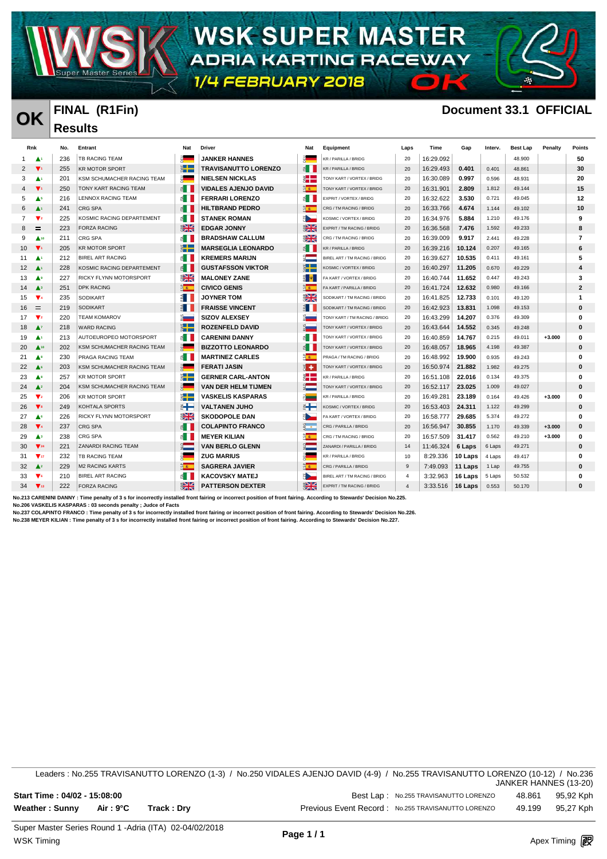

**WSK SUPER MASTER** ADRIA KARTING RACEWAY

1/4 FEBRUARY 2018

**Results** 

### **OK FINAL (R1Fin) Document 33.1 OFFICIAL**

 $\blacksquare$ 

|                   | Rnk                           | No. | Entrant                    | Nat                      | <b>Driver</b>               | Nat                          | Equipment                     | Laps           | Time      | Gap     | Interv. | <b>Best Lap</b> | Penalty  | <b>Points</b>  |
|-------------------|-------------------------------|-----|----------------------------|--------------------------|-----------------------------|------------------------------|-------------------------------|----------------|-----------|---------|---------|-----------------|----------|----------------|
|                   | A۱                            | 236 | TB RACING TEAM             |                          | <b>JANKER HANNES</b>        |                              | KR / PARILLA / BRIDG          | 20             | 16:29.092 |         |         | 48.900          |          | 50             |
| 2                 | $\blacktriangledown_1$        | 255 | <b>KR MOTOR SPORT</b>      | $\ddot{\tilde{}}$        | <b>TRAVISANUTTO LORENZO</b> | $\leq$                       | KR / PARILLA / BRIDG          | 20             | 16:29.493 | 0.401   | 0.401   | 48.861          |          | 30             |
| 3                 | ▲                             | 201 | KSM SCHUMACHER RACING TEAM | g –                      | <b>NIELSEN NICKLAS</b>      | ž.                           | TONY KART / VORTEX / BRIDG    | 20             | 16:30.089 | 0.997   | 0.596   | 48.931          |          | 20             |
|                   | $\blacktriangledown_1$        | 250 | TONY KART RACING TEAM      | $\leq$                   | <b>VIDALES AJENJO DAVID</b> | $\frac{1}{2}$                | TONY KART / VORTEX / BRIDG    | 20             | 16:31.901 | 2.809   | 1.812   | 49.144          |          | 15             |
| 5                 | As                            | 216 | LENNOX RACING TEAM         | ≝ II                     | <b>FERRARI LORENZO</b>      | $\leq$ $\blacksquare$        | EXPRIT / VORTEX / BRIDG       | 20             | 16:32.622 | 3.530   | 0.721   | 49.045          |          | 12             |
| 6                 | A                             | 241 | <b>CRG SPA</b>             | $\leq$                   | <b>HILTBRAND PEDRO</b>      | $\frac{a}{b}$                | CRG / TM RACING / BRIDG       | 20             | 16:33.766 | 4.674   | 1.144   | 49.102          |          | 10             |
| 7                 | $\mathbf{v}_2$                | 225 | KOSMIC RACING DEPARTEMENT  | ٤H                       | <b>STANEK ROMAN</b>         | ۰.                           | KOSMIC / VORTEX / BRIDG       | 20             | 16:34.976 | 5.884   | 1.210   | 49.176          |          | 9              |
| 8                 | $\equiv$                      | 223 | <b>FORZA RACING</b>        | $\frac{1}{2}$            | <b>EDGAR JONNY</b>          | $\frac{1}{2}$                | EXPRIT / TM RACING / BRIDG    | 20             | 16:36.568 | 7.476   | 1.592   | 49.233          |          | 8              |
| 9                 | $\triangle$ 10                | 211 | CRG SPA                    | €H                       | <b>BRADSHAW CALLUM</b>      | $\frac{1}{2}$                | CRG / TM RACING / BRIDG       | 20             | 16:39.009 | 9.917   | 2.441   | 49.228          |          | $\overline{7}$ |
| 10                | $\blacktriangledown_1$        | 205 | <b>KR MOTOR SPORT</b>      | $\sum_{i=1}^{n}$         | <b>MARSEGLIA LEONARDO</b>   | $\epsilon$ $\blacksquare$    | KR / PARILLA / BRIDG          | 20             | 16:39.216 | 10.124  | 0.207   | 49.165          |          | 6              |
| 11                | ▲                             | 212 | <b>BIREL ART RACING</b>    | €H                       | <b>KREMERS MARIJN</b>       | $\frac{\alpha}{2}$           | BIREL ART / TM RACING / BRIDG | 20             | 16:39.627 | 10.535  | 0.411   | 49.161          |          | 5              |
| $12 \overline{ }$ | $\blacktriangle$              | 228 | KOSMIC RACING DEPARTEMENT  | $\leq$                   | <b>GUSTAFSSON VIKTOR</b>    | $\sum_{i=1}^{n}$             | KOSMIC / VORTEX / BRIDG       | 20             | 16:40.297 | 11.205  | 0.670   | 49.229          |          | 4              |
| 13                | ▲                             | 227 | RICKY FLYNN MOTORSPORT     | $\frac{N}{2}$            | <b>MALONEY ZANE</b>         | ■ Ψ                          | FA KART / VORTEX / BRIDG      | 20             | 16:40.744 | 11.652  | 0.447   | 49.243          |          | 3              |
| 14                | $\blacktriangle$ <sup>3</sup> | 251 | <b>DPK RACING</b>          | $\frac{a}{2}$            | <b>CIVICO GENIS</b>         | $\frac{1}{2}$                | FA KART / PARILLA / BRIDG     | 20             | 16:41.724 | 12.632  | 0.980   | 49.166          |          | $\mathbf{2}$   |
| 15                | $\mathbf{v}$                  | 235 | <b>SODIKART</b>            | E I                      | <b>JOYNER TOM</b>           | $\frac{N}{N}$                | SODIKART / TM RACING / BRIDG  | 20             | 16:41.825 | 12.733  | 0.101   | 49.120          |          | -1             |
| 16                | Ξ                             | 219 | <b>SODIKART</b>            | MП                       | <b>FRAISSE VINCENT</b>      | $\frac{3}{2}$ $\blacksquare$ | SODIKART / TM RACING / BRIDG  | 20             | 16:42.923 | 13.831  | 1.098   | 49.153          |          | 0              |
| 17                | $\mathbf{v}_2$                | 220 | <b>TEAM KOMAROV</b>        | ă.                       | <b>SIZOV ALEXSEY</b>        |                              | TONY KART / TM RACING / BRIDG | 20             | 16:43.299 | 14.207  | 0.376   | 49.309          |          | 0              |
| 18                | $\blacktriangle^7$            | 218 | <b>WARD RACING</b>         | $\ddot{\tilde{z}}$ .     | <b>ROZENFELD DAVID</b>      |                              | TONY KART / VORTEX / BRIDG    | 20             | 16:43.644 | 14.552  | 0.345   | 49.248          |          | $\mathbf{0}$   |
| 19                | ▲                             | 213 | AUTOEUROPEO MOTORSPORT     | $\leq$                   | <b>CARENINI DANNY</b>       | $\epsilon$                   | TONY KART / VORTEX / BRIDG    | 20             | 16:40.859 | 14.767  | 0.215   | 49.011          | $+3.000$ | 0              |
| 20                | $\triangle$ <sup>10</sup>     | 202 | KSM SCHUMACHER RACING TEAM | $\frac{1}{2}$            | <b>BIZZOTTO LEONARDO</b>    | $\epsilon$                   | TONY KART / VORTEX / BRIDG    | 20             | 16:48.057 | 18.965  | 4.198   | 49.387          |          | 0              |
| 21                | ▲॰                            | 230 | PRAGA RACING TEAM          | $\epsilon$               | <b>MARTINEZ CARLES</b>      | $\frac{1}{2}$                | PRAGA / TM RACING / BRIDG     | 20             | 16:48.992 | 19.900  | 0.935   | 49.243          |          | 0              |
| 22                | A.                            | 203 | KSM SCHUMACHER RACING TEAM | $\frac{1}{2}$            | <b>FERATI JASIN</b>         | H +                          | TONY KART / VORTEX / BRIDG    | 20             | 16:50.974 | 21.882  | 1.982   | 49.275          |          | 0              |
| 23                | A                             | 257 | <b>KR MOTOR SPORT</b>      | $\ddot{\tilde{}}$        | <b>GERNER CARL-ANTON</b>    | 計                            | KR / PARILLA / BRIDG          | 20             | 16:51.108 | 22.016  | 0.134   | 49.375          |          | 0              |
| 24                | $\triangle^2$                 | 204 | KSM SCHUMACHER RACING TEAM | R <sub>a</sub>           | <b>VAN DER HELM TIJMEN</b>  |                              | TONY KART / VORTEX / BRIDG    | 20             | 16:52.117 | 23.025  | 1.009   | 49.027          |          | 0              |
| 25                | $\blacktriangledown_2$        | 206 | <b>KR MOTOR SPORT</b>      | $\ddot{\tilde{}}$        | <b>VASKELIS KASPARAS</b>    | Pinat                        | KR / PARILLA / BRIDG          | 20             | 16:49.281 | 23.189  | 0.164   | 49.426          | $+3.000$ | 0              |
| 26                | $\blacktriangledown$          | 249 | KOHTALA SPORTS             | $\epsilon$ $\rightarrow$ | <b>VALTANEN JUHO</b>        | ⋹⋕                           | KOSMIC / VORTEX / BRIDG       | 20             | 16:53.403 | 24.311  | 1.122   | 49.299          |          | 0              |
| 27                | ٨٥                            | 226 | RICKY FLYNN MOTORSPORT     | $\mathbb{R}$             | <b>SKODOPOLE DAN</b>        | H.                           | FA KART / VORTEX / BRIDG      | 20             | 16:58.777 | 29.685  | 5.374   | 49.272          |          | 0              |
| 28                | $\Psi_4$                      | 237 | <b>CRG SPA</b>             | €H                       | <b>COLAPINTO FRANCO</b>     | $\frac{1}{2}$                | CRG / PARILLA / BRIDG         | 20             | 16:56.947 | 30.855  | 1.170   | 49.339          | $+3.000$ | $\bf{0}$       |
| 29                | Аз                            | 238 | CRG SPA                    | $\epsilon$               | <b>MEYER KILIAN</b>         | $\frac{a}{2}$                | CRG / TM RACING / BRIDG       | 20             | 16:57.509 | 31.417  | 0.562   | 49.210          | $+3.000$ | 0              |
| 30                | $\nabla_{24}$                 | 221 | ZANARDI RACING TEAM        | $rac{1}{2}$              | <b>VAN BERLO GLENN</b>      | $\frac{1}{2}$                | ZANARDI / PARILLA / BRIDG     | 14             | 11:46.324 | 6 Laps  | 6 Laps  | 49.271          |          | 0              |
| 31                | $\Psi_{17}$                   | 232 | TB RACING TEAM             |                          | <b>ZUG MARIUS</b>           |                              | KR / PARILLA / BRIDG          | 10             | 8:29.336  | 10 Laps | 4 Laps  | 49.417          |          | 0              |
| 32                | $\triangle^2$                 | 229 | <b>M2 RACING KARTS</b>     | 2 <sup>2</sup>           | <b>SAGRERA JAVIER</b>       | $\frac{a}{2}$                | CRG / PARILLA / BRIDG         | 9              | 7:49.093  | 11 Laps | 1 Lap   | 49.755          |          | 0              |
| 33                | $\mathbf{v}$                  | 210 | <b>BIREL ART RACING</b>    | $\epsilon$               | <b>KACOVSKY MATEJ</b>       |                              | BIREL ART / TM RACING / BRIDG | $\overline{4}$ | 3:32.963  | 16 Laps | 5 Laps  | 50.532          |          | 0              |
| 34                | $\Psi$ <sub>13</sub>          | 222 | <b>FORZA RACING</b>        | $\frac{1}{2}$            | <b>PATTERSON DEXTER</b>     | $\mathbf{N}$                 | EXPRIT / TM RACING / BRIDG    |                | 3:33.516  | 16 Laps | 0.553   | 50.170          |          | $\Omega$       |

**No.213 CARENINI DANNY : Time penalty of 3 s for incorrectly installed front fairing or incorrect position of front fairing. According to Stewards' Decision No.225.**

**No.206 VASKELIS KASPARAS : 03 seconds penalty ; Judce of Facts No.237 COLAPINTO FRANCO : Time penalty of 3 s for incorrectly installed front fairing or incorrect position of front fairing. According to Stewards' Decision No.226.**

**No.238 MEYER KILIAN : Time penalty of 3 s for incorrectly installed front fairing or incorrect position of front fairing. According to Stewards' Decision No.227.**

Leaders : No.255 TRAVISANUTTO LORENZO (1-3) / No.250 VIDALES AJENJO DAVID (4-9) / No.255 TRAVISANUTTO LORENZO (10-12) / No.236 JANKER HANNES (13-20) **Start Time : 04/02 - 15:08:00** Best Lap : No.255 TRAVISANUTTO LORENZO 48.861 95,92 Kph **Weather : Sunny Air : 9°C Track : Dry Previous Event Record : No.255 TRAVISANUTTO LORENZO** 49.199 95,27 Kph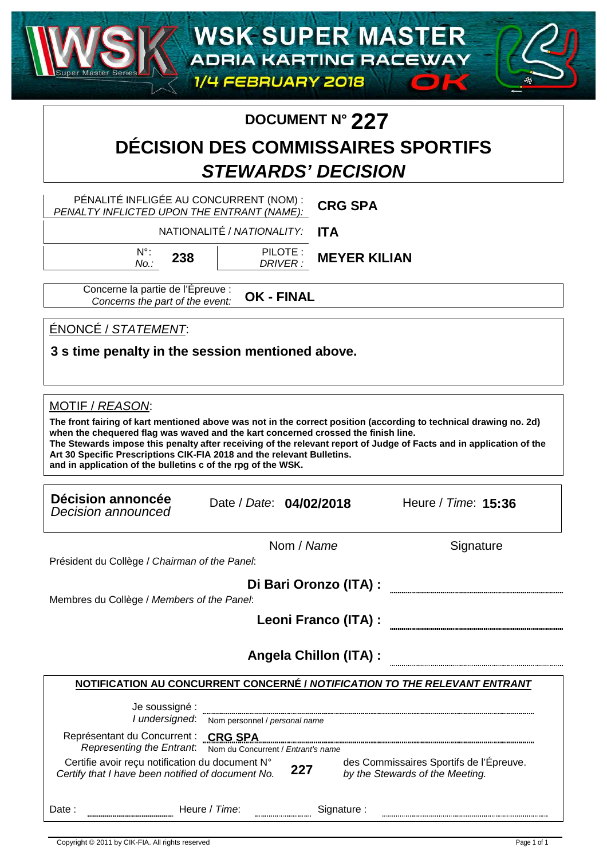### **DOCUMENT N° 227**

## **DÉCISION DES COMMISSAIRES SPORTIFS STEWARDS' DECISION**

PÉNALITÉ INFLIGÉE AU CONCURRENT (NOM) : PENALTY INFLICTED UPON THE ENTRANT (NAME): **CRG SPA**

> NATIONALITÉ / NATIONALITY: **ITA**

N°: No.:

PILOTE : DRIVER : 238 **MEYER KILIAN** 

Concerne la partie de l'Épreuve : Concerns the part of the event: **OK - FINAL** 

ÉNONCÉ / STATEMENT:

**3 s time penalty in the session mentioned above.**

MOTIF / REASON:

**The front fairing of kart mentioned above was not in the correct position (according to technical drawing no. 2d) when the chequered flag was waved and the kart concerned crossed the finish line. The Stewards impose this penalty after receiving of the relevant report of Judge of Facts and in application of the Art 30 Specific Prescriptions CIK-FIA 2018 and the relevant Bulletins. and in application of the bulletins c of the rpg of the WSK.**

| Décision annoncée<br>Decision announced                                                                              | Date / Date: 04/02/2018            |                                          |                                 | Heure / Time: 15:36                     |
|----------------------------------------------------------------------------------------------------------------------|------------------------------------|------------------------------------------|---------------------------------|-----------------------------------------|
|                                                                                                                      |                                    | Nom / Name                               |                                 | Signature                               |
| Président du Collège / Chairman of the Panel:                                                                        |                                    |                                          |                                 |                                         |
| Membres du Collège / Members of the Panel:                                                                           |                                    | Di Bari Oronzo (ITA) :                   |                                 |                                         |
|                                                                                                                      |                                    | Leoni Franco (ITA) :                     |                                 |                                         |
| NOTIFICATION AU CONCURRENT CONCERNÉ / NOTIFICATION TO THE RELEVANT ENTRANT                                           |                                    | <b>Angela Chillon (ITA):</b>             |                                 |                                         |
| Je soussigné :<br>I undersigned:                                                                                     | Nom personnel / personal name      |                                          |                                 |                                         |
| Représentant du Concurrent : CRG SPA<br>Representing the Entrant.<br>Certifie avoir reçu notification du document N° | Nom du Concurrent / Entrant's name |                                          |                                 | des Commissaires Sportifs de l'Épreuve. |
| Certify that I have been notified of document No.                                                                    |                                    | 227                                      | by the Stewards of the Meeting. |                                         |
| Date:                                                                                                                | Heure / Time:                      | Signature:<br>,,,,,,,,,,,,,,,,,,,,,,,,,, |                                 |                                         |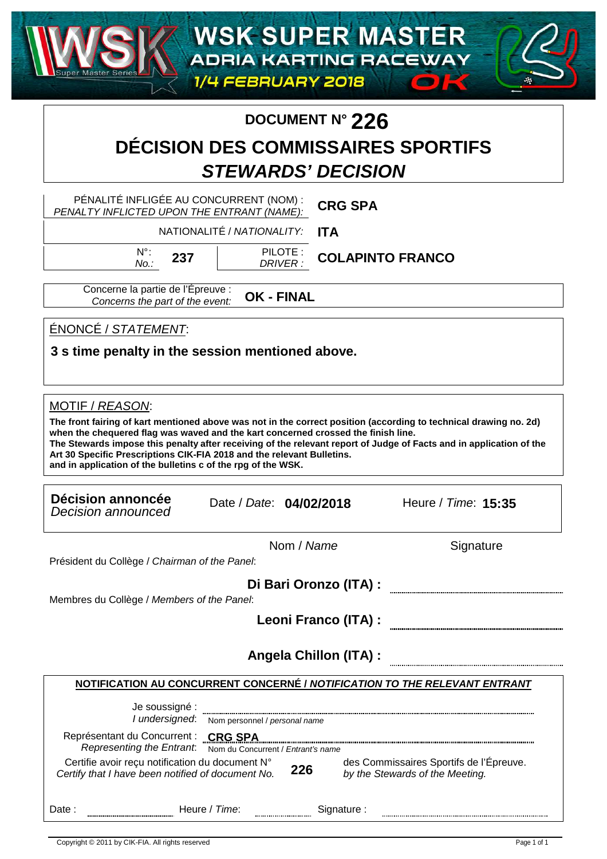### **DOCUMENT N° 226**

## **DÉCISION DES COMMISSAIRES SPORTIFS STEWARDS' DECISION**

PÉNALITÉ INFLIGÉE AU CONCURRENT (NOM) : **CRG SPA** PENALTY INFLICTED UPON THE ENTRANT (NAME): NATIONALITÉ / NATIONALITY: **ITA** N°: PILOTE : 237 **COLAPINTO FRANCO** No.: DRIVER : Concerne la partie de l'Épreuve : **OK - FINAL**  Concerns the part of the event: ÉNONCÉ / STATEMENT: **3 s time penalty in the session mentioned above.** MOTIF / REASON: **The front fairing of kart mentioned above was not in the correct position (according to technical drawing no. 2d) when the chequered flag was waved and the kart concerned crossed the finish line. The Stewards impose this penalty after receiving of the relevant report of Judge of Facts and in application of the Art 30 Specific Prescriptions CIK-FIA 2018 and the relevant Bulletins. and in application of the bulletins c of the rpg of the WSK. Décision annoncée** Date / Date: Heure / Time: Decision announced **04/02/2018 15:35** Nom / Name Signature Président du Collège / Chairman of the Panel: **Di Bari Oronzo (ITA) :** Membres du Collège / Members of the Panel: **Leoni Franco (ITA) : Angela Chillon (ITA) :NOTIFICATION AU CONCURRENT CONCERNÉ / NOTIFICATION TO THE RELEVANT ENTRANT** Je soussigné : I undersigned: Nom personnel / personal name Représentant du Concurrent : **CRG SPA** Representing the Entrant: "Nom du Concurrent / Entrant's name Certifie avoir reçu notification du document N° des Commissaires Sportifs de l'Épreuve. **226** Certify that I have been notified of document No. by the Stewards of the Meeting. Date : www.waling.com/mexicles.com/mexicles.com/mexicles/mexicles/mexicles/mexicles/mexicles/mexicles/mexicles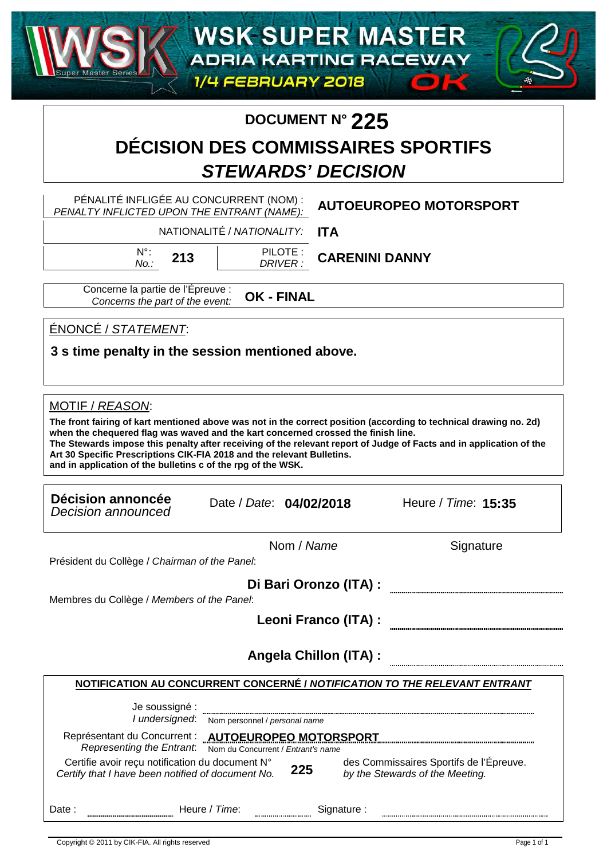# **DOCUMENT N° 225**

## **DÉCISION DES COMMISSAIRES SPORTIFS STEWARDS' DECISION**

PÉNALITÉ INFLIGÉE AU CONCURRENT (NOM) : **AUTOEUROPEO MOTORSPORT** PENALTY INFLICTED UPON THE ENTRANT (NAME): NATIONALITÉ / NATIONALITY: **ITA** N°: PILOTE : 213 | PILUTE: **CARENINI DANNY** No.: DRIVER : Concerne la partie de l'Épreuve : **OK - FINAL**  Concerns the part of the event: ÉNONCÉ / STATEMENT: **3 s time penalty in the session mentioned above.** MOTIF / REASON: **The front fairing of kart mentioned above was not in the correct position (according to technical drawing no. 2d) when the chequered flag was waved and the kart concerned crossed the finish line. The Stewards impose this penalty after receiving of the relevant report of Judge of Facts and in application of the Art 30 Specific Prescriptions CIK-FIA 2018 and the relevant Bulletins. and in application of the bulletins c of the rpg of the WSK. Décision annoncée** Date / Date: Heure / Time: Decision announced **04/02/2018 15:35** Nom / Name Signature Président du Collège / Chairman of the Panel: **Di Bari Oronzo (ITA) :** Membres du Collège / Members of the Panel: **Leoni Franco (ITA) : Angela Chillon (ITA) :NOTIFICATION AU CONCURRENT CONCERNÉ / NOTIFICATION TO THE RELEVANT ENTRANT** Je soussigné : I undersigned: Nom personnel / personal name Représentant du Concurrent : **AUTOEUROPEO MOTORSPORT** Representing the Entrant: ""Nom du Concurrent / Entrant's name Certifie avoir reçu notification du document N° des Commissaires Sportifs de l'Épreuve. **225**

Copyright © 2011 by CIK-FIA. All rights reserved **Apple 2012** and services http://www.apex-timing.com/ Copyright © 2011 by CIK-FIA. All rights reserved

Certify that I have been notified of document No.

Date : www.wallen.com = Neure / Time: www.wallen.com = Signature :

by the Stewards of the Meeting.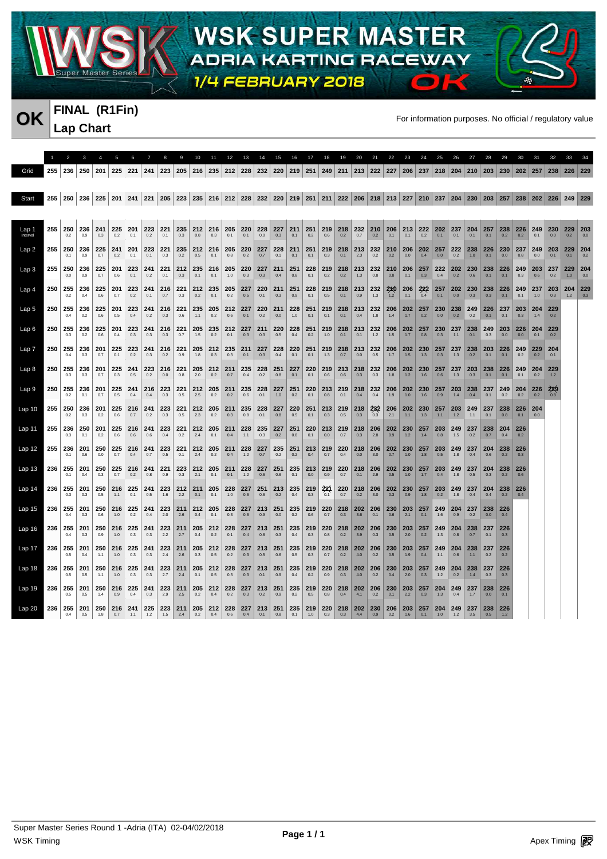

### **FINAL (R1Fin) Lap Chart**

**OK** FINAL (KTFIN)<br>For information purposes. No official / regulatory value

 $\bullet$ 

| Grid              | 255 | 236            | 250        | 201        | 225            | 221        | 241        |                                                                                                                                         | 223   205   216 |            | 235              |            |            | 212 228 232          | 220        | $\vert 219 \vert$ | 251        |            | $249$ 211          |                        |                | 213 222 227 206 237 218 204 |            |                                |                    |            | 210        | 203        | 230            |            | 202 257 238 |            | 226        | 229        |
|-------------------|-----|----------------|------------|------------|----------------|------------|------------|-----------------------------------------------------------------------------------------------------------------------------------------|-----------------|------------|------------------|------------|------------|----------------------|------------|-------------------|------------|------------|--------------------|------------------------|----------------|-----------------------------|------------|--------------------------------|--------------------|------------|------------|------------|----------------|------------|-------------|------------|------------|------------|
| Start             |     |                |            |            |                |            |            | 255 250 236 225 201 241 221 205 223 235 216 212 228 232 220 219 251 211 222 206 218 213 227 210 237 204 230 203 257 238 202 226 249 229 |                 |            |                  |            |            |                      |            |                   |            |            |                    |                        |                |                             |            |                                |                    |            |            |            |                |            |             |            |            |            |
|                   |     |                |            |            |                |            |            |                                                                                                                                         |                 |            |                  |            |            |                      |            |                   |            |            |                    |                        |                |                             |            |                                |                    |            |            |            |                |            |             |            |            |            |
| Lap 1             | 255 | 250<br>0.2     | 236<br>0.9 | 241<br>0.3 | 225<br>0.2     | 201<br>0.1 | 223<br>0.2 | 221<br>0.1                                                                                                                              | 235<br>0.3      | 212<br>0.8 | 216<br>0.3       | 205<br>0.1 | 220<br>0.1 | 228<br>0.0           | 227<br>0.3 | 211<br>0.1        | 251<br>0.2 | 0.6        | $219$ 218<br>0.2   | 232<br>0.7             | 210 <br>0.2    | 206<br>0.1                  | 213<br>0.1 | 0.2                            | 222 202 237<br>0.1 | 0.1        | 204<br>0.1 | 257<br>0.1 | 238 226<br>0.2 | 0.2        | 249<br>0.1  | 230<br>0.0 | 229<br>0.2 | 203<br>0.0 |
| Lap 2             |     | 255 250<br>0.1 | 236<br>0.9 | 225<br>0.7 | 241<br>0.2     | 201<br>0.1 | 223<br>0.1 | 221<br>0.3                                                                                                                              | 235<br>0.2      | 212<br>0.5 | 216<br>0.1       | 205<br>0.8 | 220<br>0.2 | 227<br>0.7           | 228<br>0.1 | 211<br>0.1        | 251<br>0.1 | 219<br>0.3 | 218<br>0.1         | 213<br>2.3             | 232<br>0.2     | 210<br>0.2                  | 206<br>0.0 | 202<br>0.4                     | 257<br>0.0         | 222<br>0.2 | 238<br>1.0 | 226<br>0.1 | 230<br>0.0     | 237<br>0.8 | 249<br>0.0  | 203<br>0.1 | 229        | 204<br>0.2 |
| Lap 3             | 255 | 250<br>0.0     | 236<br>0.9 | 225<br>0.7 | 201<br>0.6     | 223<br>0.1 | 241<br>0.2 | 221<br>0.1                                                                                                                              | 212<br>0.3      | 235<br>0.1 | 216<br>0.1       | 205<br>1.0 | 220<br>0.3 | 227<br>0.3           | 211<br>0.4 | 251<br>0.8        | 228<br>0.1 | 219<br>0.2 | 218<br>0.2         | 213<br>1.3             | 232<br>0.8     | 210<br>0.8                  | 206<br>0.1 | 257<br>0.3                     | 222<br>0.4         | 202<br>0.2 | 230<br>0.6 | 238<br>0.1 | 226<br>0.1     | 249<br>0.3 | 203<br>0.6  | 237<br>0.2 | 229<br>1.0 | 204<br>0.0 |
| Lap 4             | 250 | 255<br>0.2     | 236<br>0.4 | 225<br>0.6 | 201<br>0.7     | 223<br>0.2 | 241<br>0.1 | 216<br>0.7                                                                                                                              | 221<br>0.3      | 212<br>0.2 | 235<br>0.1       | 205<br>0.2 | 227<br>0.5 | 220<br>0.1           | 211<br>0.3 | 251<br>0.9        | 228<br>0.1 | 219<br>0.5 | 218<br>0.1         | 213<br>0.9             | 232<br>1.3     | 210<br>1.2                  | 206<br>0.1 | 222<br>0.4                     | 257<br>0.1         | 202<br>0.0 | 230<br>0.3 | 238<br>0.3 | 226<br>0.1     | 249<br>0.1 | 237<br>1.0  | 203<br>0.3 | 204<br>12  | 229<br>0.3 |
| Lap <sub>5</sub>  |     | 250 255        | 236<br>0.2 | 225<br>0.6 | 201<br>0.5     | 223<br>0.4 | 241<br>0.2 | 216<br>0.3                                                                                                                              | 221<br>0.6      | 235        | 205<br>0.2       | 212<br>0.6 | 227        | 220<br>0.2           | 211<br>0.0 | 228<br>1.0        | 251<br>0.1 | 219<br>0.1 | 218 213<br>0.1     | 0.4                    | 232            | 206<br>1.4                  | 1.7        | $202$   257  <br>0.2           | 230<br>0.0         | 238<br>0.2 | 249<br>0.2 | 226<br>0.1 | 237            | 203<br>0.3 | 204         | 229<br>0.2 |            |            |
| Lap <sub>6</sub>  | 250 | 255            | 236        | 225        | 201            | 223        | 241        | 216                                                                                                                                     | 221             | 205        | 235              | 212        | 227        | 211                  | 220        | 228               | 251        | 219        | 218                | 213                    | 232            | 206                         | 202        | 257                            | 230                | 237        | 238        | 249        | 203            | 226        | 204         | 229        |            |            |
| Lap 7             | 250 | 0.3<br>255     | 0.2<br>236 | 0.6<br>201 | 0.4<br>225     | 0.3<br>223 | 0.3<br>241 | 0.3<br>216                                                                                                                              | 0.7<br>221      | 1.5<br>205 | 0.2<br>212       | 0.1<br>235 | 0.3<br>211 | 0.3<br>227           | 0.5<br>228 | 0.4<br>220        | 0.2<br>251 | 1.0        | 0.1<br>219 218 213 | 0.1                    | 1.2<br>232     | 1.5<br>206                  | 1.7        | 0.8<br>202 230 257             | 0.3                | 1.1<br>237 | 0.1<br>238 | 0.3<br>203 | 0.0<br>226     | 0.0<br>249 | 0.1<br>229  | 0.2<br>204 |            |            |
| Lap <sub>8</sub>  |     | 0.4<br>250 255 | 0.3<br>236 | 0.7<br>201 | 0.1<br>225     | 0.2<br>241 | 0.3<br>223 | 0.2<br>216                                                                                                                              | 0.9<br>221      | 1.8<br>205 | 0.3<br>$212$ 211 | 0.3        | 0.1<br>235 | $0.3\,$<br>228       | 0.4<br>251 | 0.1<br>227        | 0.1<br>220 | 1.3<br>219 | 0.7<br>213         | 0.0<br>218             | 0.5<br>232     | 1.7<br>206                  | 1.5<br>202 | 1.3<br>230                     | 0.3<br>257         | 1.3<br>237 | 0.2<br>203 | 0.1<br>238 | 0.1<br>226     | 0.2<br>249 | 0.2<br>204  | 0.1<br>229 |            |            |
| Lap 9             | 250 | 0.3<br>255     | 0.3<br>236 | 0.7<br>201 | 0.3<br>225     | 0.5<br>241 | 0.2<br>216 | 0.0<br>223                                                                                                                              | 0.8<br>221      | 2.0<br>212 | 0.2<br>205       | 0.7<br>211 | 0.4<br>235 | 0.2<br>228           | 0.8<br>227 | 0.1<br>251        | 0.1<br>220 | 0.6<br>213 | 0.6<br>219         | 0.3<br>218             | 0.3<br>232     | 1.8<br>206                  | 1.2<br>202 | 1.6<br>230                     | 0.6<br>257         | 1.3<br>203 | 0.3<br>238 | 0.1<br>237 | 0.1<br>249     | 0.1<br>204 | 0.2<br>226  | 1.2<br>229 |            |            |
|                   |     | 0.2            | 0.1        | 0.7        | 0.5            | 0.4        | 0.4        | 0.3                                                                                                                                     | 0.5             | 2.5        | 0.2              | 0.2        | 0.6        | 0.1                  | 1.0        | 0.2               | 0.1        | 0.8        | 0.1                | 0.4                    | 0.4            | 1.9                         | 1.0        | 1.6                            | 0.9                | 1.4        | 0.4        | 0.1        | 0.2            | 0.2        | 0.2         | 0.8        |            |            |
| Lap <sub>10</sub> | 255 | 250<br>0.2     | 236<br>0.3 | 201<br>0.2 | 225<br>0.6     | 216<br>0.7 | 241<br>0.2 | 223<br>0.3                                                                                                                              | 221<br>0.5      | 212<br>2.3 | 205<br>0.2       | 211<br>0.3 | 235<br>0.8 | 228<br>0.1           | 227<br>0.8 | 220<br>0.5        | 251<br>0.1 | 0.3        | $213$ 219<br>0.5   | $218$ 232<br>0.3       | 0.3            | 206<br>2.1                  | 1.1        | $202$ 230<br>1.3               | 257<br>$1.1$       | 203<br>1.2 | 249<br>1.1 | 237<br>0.1 | 238<br>0.8     | 226<br>0.1 | 204<br>0.0  |            |            |            |
| Lap 11            | 255 | 236<br>0.3     | 250<br>0.1 | 201<br>0.2 | 225<br>0.6     | 216<br>0.6 | 241<br>0.6 | 223<br>0.4                                                                                                                              | 221<br>0.2      | 212<br>2.4 | 205<br>0.1       | 211<br>0.4 | 228<br>1.1 | 235<br>0.3           | 227<br>0.2 | 251<br>0.8        | 220<br>0.1 | 213<br>0.0 | 219<br>0.7         | 218<br>0.3             | 206<br>2.8     | 202<br>0.9                  | 230<br>1.2 | 257<br>1.4                     | 203<br>0.8         | 249<br>1.5 | 237<br>0.2 | 238<br>0.7 | 204<br>0.4     | 226<br>0.2 |             |            |            |            |
| Lap 12            | 255 | 236<br>0.1     | 201<br>0.6 | 250<br>0.0 | 225<br>0.7     | 216<br>0.4 | 241<br>0.7 | 223<br>0.5                                                                                                                              | 221<br>0.1      | 212<br>2.4 | 205<br>0.2       | 211<br>0.4 | 228<br>12  | 227<br>0.7           | 235<br>0.2 | 251<br>0.2        | 213<br>0.4 | 219<br>0.7 | 220<br>0.4         | 218<br>0.0             | 206<br>3.0     | 202<br>0.7                  | 230<br>1.0 | 257<br>1.8                     | 203<br>0.5         | 249<br>1.8 | 237<br>0.4 | 204<br>0.6 | 238<br>0.2     | 226<br>0.3 |             |            |            |            |
| Lap <sub>13</sub> | 236 | 255<br>0.1     | 201<br>0.4 | 250<br>0.3 | 225<br>0.7     | 216<br>0.2 | 241<br>0.8 | 221<br>0.9                                                                                                                              | 223<br>0.3      | 212<br>2.1 | 205<br>0.1       | 211<br>0.1 | 228<br>1.2 | 227<br>$0.6\,$       | 251<br>0.6 | 235<br>0.1        | 213<br>0.0 | 219<br>0.9 | 220<br>0.7         | 0.1                    | 218 206<br>2.9 | 202<br>0.5                  | 230<br>1.0 | 257<br>1.7                     | 203<br>0.4         | 249<br>1.8 | 237<br>0.5 | 204<br>0.3 | 238<br>0.2     | 226<br>0.6 |             |            |            |            |
| Lap 14            | 236 | 255<br>0.3     | 201<br>0.3 | 250<br>0.5 | 216<br>1.1     | 225<br>0.1 | 241<br>0.5 | 223<br>1.6                                                                                                                              | 212<br>2.2      | 211<br>0.1 | 205<br>0.1       | 228<br>1.0 | 227<br>0.6 | 251<br>0.6           | 213<br>0.2 | 235<br>0.4        | 219<br>0.3 | 221<br>0.1 | 220<br>0.7         | 218<br>0.2             | 206<br>3.0     | 202<br>0.3                  | 230<br>0.9 | 257<br>1.8                     | 203<br>0.2         | 249<br>1.8 | 237<br>0.4 | 204<br>0.4 | 238<br>0.2     | 226<br>0.4 |             |            |            |            |
| Lap 15            | 236 | 255<br>0.4     | 201<br>0.3 | 250<br>0.6 | 216<br>1.0     | 225<br>0.2 | 241<br>0.4 | 223<br>2.0                                                                                                                              | 211<br>2.6      | 212<br>0.4 | 205<br>0.1       | 228<br>0.3 | 227<br>0.6 | 213<br>0.9           | 251<br>0.0 | 235<br>0.2        | 219<br>0.6 | 220<br>0.7 | 218<br>0.3         | 202<br>3.6             | 206<br>0.1     | 230<br>0.6                  | 203<br>2.1 | 257<br>0.1                     | 249<br>1.6         | 204<br>0.9 | 237<br>0.2 | 238<br>0.0 | 226<br>0.4     |            |             |            |            |            |
| Lap 16            | 236 | 255<br>0.4     | 201<br>0.3 | 250<br>0.9 | 216<br>1.0     | 225<br>0.3 | 241<br>0.3 | 223<br>2.2                                                                                                                              | 211<br>2.7      | 205<br>0.4 | 212<br>0.2       | 228<br>0.1 | 227<br>0.4 | 213<br>0.8           | 251<br>0.3 | 235<br>0.4        | 219<br>0.3 | 220<br>0.8 | 0.2                | 218 202 206<br>3.9     | 0.3            | 230<br>0.5                  | 203<br>2.0 | 257<br>0.2                     | 249<br>1.3         | 204<br>0.8 | 238<br>0.7 | 237<br>0.1 | 226<br>0.3     |            |             |            |            |            |
| Lap 17            | 236 | 255<br>0.5     | 201<br>0.4 | 250<br>1.1 | 216<br>1.0     | 225<br>0.3 | 241<br>0.3 | 223<br>2.4                                                                                                                              | 211<br>2.6      | 205<br>0.3 | 212<br>0.5       | 228<br>0.2 | 227<br>0.3 | 213<br>0.5           | 251<br>0.6 | 235<br>0.5        | 219<br>0.3 | 220<br>0.7 | 0.2                | 218 202 206 230<br>4.0 | 0.2            | 0.5                         | 203<br>1.9 | 257<br>0.4                     | 249<br>1.1         | 204<br>0.6 | 238        | 237        | 226<br>0.2     |            |             |            |            |            |
| Lap 18            | 236 | 255<br>0.5     | 201<br>0.5 | 250<br>1.1 | 216<br>1.0     | 225<br>0.3 | 241<br>0.3 | 223<br>27                                                                                                                               | 211<br>2.4      | 205<br>0.1 | 212<br>0.5       | 228<br>0.3 | 227<br>0.3 | 213<br>0.1           | 251<br>0.9 | 235<br>0.4        | 219<br>0.2 | 220<br>0.9 | 218<br>0.3         | 202<br>4.0             | 206<br>0.2     | 230<br>0.4                  | 203<br>2.0 | 257<br>0.3                     | 249<br>1.2         | 204<br>0.2 | 238<br>1.4 | 237<br>0.3 | 226<br>0.3     |            |             |            |            |            |
| Lap 19            | 236 | 255            | 201        | 250        | 216            | 225        | 241<br>0.3 | 223                                                                                                                                     | 211             | 205        | 212              | 228        | 227        | 213                  | 251        | 235               | 219        | 220        | 0.4                | 218 202 206<br>4.1     |                | 230                         | 203<br>22  | 257                            | 204                | 249        | 237        | 238<br>0.0 | 226            |            |             |            |            |            |
| Lap 20            |     | 0.5<br>236 255 | 0.5<br>201 | 1.4        | 0.9<br>250 216 | 0.4<br>241 | 225        | 2.9<br>223                                                                                                                              | 2.5<br>211      | 0.2<br>205 | 0.4<br>212 228   | 0.2        | 0.3        | 0.2<br>$227$ 213 251 | 0.9        | 0.2<br>235 219    | 0.5        | 0.8        |                    | 220 218 202 230 206    | 0.2            | 0.1                         |            | 0.3<br>  203   257   204   249 | 1.3                | 0.4        | 1.7<br>237 | 238        | 0.1<br>226     |            |             |            |            |            |
|                   |     | 0.4            | 0.5        | 1.8        | 0.7            | 1.1        | 1.2        | 1.5                                                                                                                                     | 2.4             | 0.2        | 0.4              | 0.6        | 0.4        | 0.1                  | 0.8        | 0.1               | 1.0        | 0.3        | 0.3                | 4.4                    | 0.9            | 0.2                         | 1.6        | 0.1                            | 1.0                | 1.2        | 3.5        |            |                |            |             |            |            |            |

**WSK SUPER MASTER** 

ADRIA KARTING RACEWAY

1/4 FEBRUARY 2018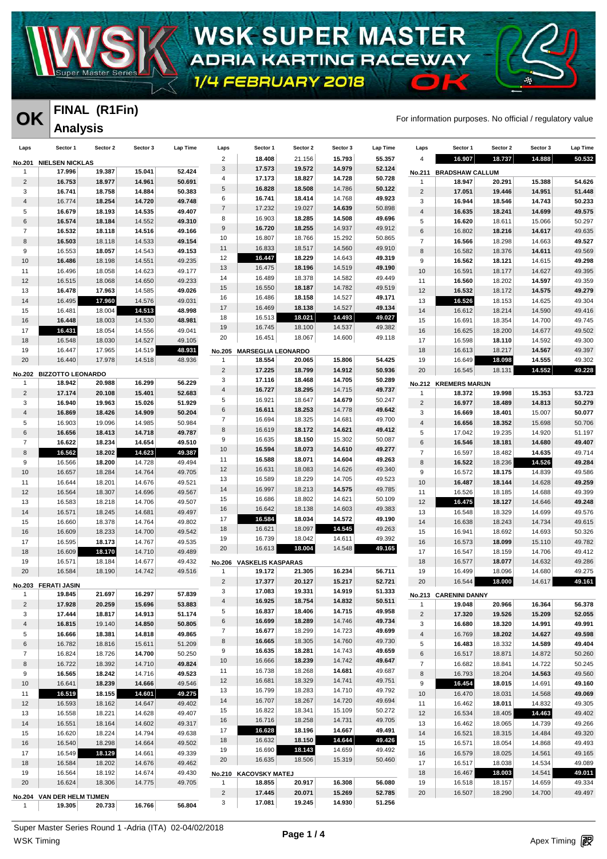

### **WSK-SUPER MASTER** ADRIA KARTING RACEWAY  $\bullet$

1/4 FEBRUARY 2018

#### **FINAL (R1Fin) Analysis**

**OK** FINAL (KTFIN)<br>For information purposes. No official / regulatory value

| Laps             | Sector 1                   | Sector 2         | Sector 3         | Lap Time         | Laps                      | Sector 1                  | Sector 2         | Sector 3         | Lap Time         | Laps           | Sector 1               | Sector 2         | Sector 3         | <b>Lap Time</b>  |
|------------------|----------------------------|------------------|------------------|------------------|---------------------------|---------------------------|------------------|------------------|------------------|----------------|------------------------|------------------|------------------|------------------|
| No.201           | <b>NIELSEN NICKLAS</b>     |                  |                  |                  | $\overline{c}$            | 18.408                    | 21.156           | 15.793           | 55.357           | 4              | 16.907                 | 18.737           | 14.888           | 50.532           |
| $\mathbf{1}$     | 17.996                     | 19.387           | 15.041           | 52.424           | $\ensuremath{\mathsf{3}}$ | 17.573                    | 19.572           | 14.979           | 52.124           | No.211         | <b>BRADSHAW CALLUM</b> |                  |                  |                  |
| $\overline{c}$   | 16.753                     | 18.977           | 14.961           | 50.691           | 4                         | 17.173                    | 18.827           | 14.728           | 50.728           | 1              | 18.947                 | 20.291           | 15.388           | 54.626           |
| 3                | 16.741                     | 18.758           | 14.884           | 50.383           | $\,$ 5 $\,$               | 16.828                    | 18.508           | 14.786           | 50.122           | $\sqrt{2}$     | 17.051                 | 19.446           | 14.951           | 51.448           |
| 4                | 16.774                     | 18.254           | 14.720           | 49.748           | 6                         | 16.741                    | 18.414           | 14.768           | 49.923           | 3              | 16.944                 | 18.546           | 14.743           | 50.233           |
| 5                | 16.679                     | 18.193           | 14.535           | 49.407           | $\overline{7}$            | 17.232                    | 19.027           | 14.639           | 50.898           | $\overline{4}$ | 16.635                 | 18.241           | 14.699           | 49.575           |
| 6                | 16.574                     | 18.184           | 14.552           | 49.310           | 8                         | 16.903                    | 18.285           | 14.508           | 49.696           | 5              | 16.620                 | 18.611           | 15.066           | 50.297           |
| $\overline{7}$   | 16.532                     | 18.118           | 14.516           | 49.166           | 9                         | 16.720                    | 18.255           | 14.937           | 49.912           | $\,6$          | 16.802                 | 18.216           | 14.617           | 49.635           |
| 8                | 16.503                     | 18.118           | 14.533           | 49.154           | 10                        | 16.807                    | 18.766           | 15.292           | 50.865           | $\overline{7}$ | 16.566                 | 18.298           | 14.663           | 49.527           |
| $\boldsymbol{9}$ | 16.553                     | 18.057           | 14.543           | 49.153           | 11<br>12                  | 16.833<br>16.447          | 18.517<br>18.229 | 14.560<br>14.643 | 49.910<br>49.319 | 8              | 16.582                 | 18.376           | 14.611           | 49.569           |
| 10               | 16.486                     | 18.198           | 14.551           | 49.235           | 13                        | 16.475                    | 18.196           | 14.519           | 49.190           | 9              | 16.562                 | 18.121           | 14.615           | 49.298           |
| 11               | 16.496                     | 18.058           | 14.623           | 49.177           | 14                        | 16.489                    | 18.378           | 14.582           | 49.449           | 10             | 16.591                 | 18.177           | 14.627           | 49.395           |
| 12               | 16.515                     | 18.068           | 14.650           | 49.233           | 15                        | 16.550                    | 18.187           | 14.782           | 49.519           | 11             | 16.560                 | 18.202           | 14.597           | 49.359           |
| 13<br>14         | 16.478<br>16.495           | 17.963           | 14.585<br>14.576 | 49.026<br>49.031 | 16                        | 16.486                    | 18.158           | 14.527           | 49.171           | 12<br>13       | 16.532<br>16.526       | 18.172<br>18.153 | 14.575           | 49.279<br>49.304 |
| 15               | 16.481                     | 17.960<br>18.004 | 14.513           | 48.998           | 17                        | 16.469                    | 18.138           | 14.527           | 49.134           | 14             | 16.612                 | 18.214           | 14.625<br>14.590 | 49.416           |
| 16               | 16.448                     | 18.003           | 14.530           | 48.981           | 18                        | 16.513                    | 18.021           | 14.493           | 49.027           | 15             | 16.691                 | 18.354           | 14.700           | 49.745           |
| 17               | 16.431                     | 18.054           | 14.556           | 49.041           | 19                        | 16.745                    | 18.100           | 14.537           | 49.382           | 16             | 16.625                 | 18.200           | 14.677           | 49.502           |
| 18               | 16.548                     | 18.030           | 14.527           | 49.105           | 20                        | 16.451                    | 18.067           | 14.600           | 49.118           | 17             | 16.598                 | 18.110           | 14.592           | 49.300           |
| 19               | 16.447                     | 17.965           | 14.519           | 48.931           | <b>No.205</b>             | <b>MARSEGLIA LEONARDO</b> |                  |                  |                  | 18             | 16.613                 | 18.217           | 14.567           | 49.397           |
| 20               | 16.440                     | 17.978           | 14.518           | 48.936           | $\mathbf{1}$              | 18.554                    | 20.065           | 15.806           | 54.425           | 19             | 16.649                 | 18.098           | 14.555           | 49.302           |
|                  | No.202 BIZZOTTO LEONARDO   |                  |                  |                  | $\overline{2}$            | 17.225                    | 18.799           | 14.912           | 50.936           | 20             | 16.545                 | 18.131           | 14.552           | 49.228           |
| $\mathbf{1}$     | 18.942                     | 20.988           | 16.299           | 56.229           | 3                         | 17.116                    | 18.468           | 14.705           | 50.289           |                | No.212 KREMERS MARIJN  |                  |                  |                  |
| $\overline{2}$   | 17.174                     | 20.108           | 15.401           | 52.683           | $\sqrt{4}$                | 16.727                    | 18.295           | 14.715           | 49.737           | $\mathbf{1}$   | 18.372                 | 19.998           | 15.353           | 53.723           |
| 3                | 16.940                     | 19.963           | 15.026           | 51.929           | 5                         | 16.921                    | 18.647           | 14.679           | 50.247           | $\sqrt{2}$     | 16.977                 | 18.489           | 14.813           | 50.279           |
| 4                | 16.869                     | 18.426           | 14.909           | 50.204           | $\,6$                     | 16.611                    | 18.253           | 14.778           | 49.642           | 3              | 16.669                 | 18.401           | 15.007           | 50.077           |
| $\sqrt{5}$       | 16.903                     | 19.096           | 14.985           | 50.984           | $\overline{7}$            | 16.694                    | 18.325           | 14.681           | 49.700           | $\sqrt{4}$     | 16.656                 | 18.352           | 15.698           | 50.706           |
| 6                | 16.656                     | 18.413           | 14.718           | 49.787           | 8                         | 16.619                    | 18.172           | 14.621           | 49.412           | 5              | 17.042                 | 19.235           | 14.920           | 51.197           |
| $\overline{7}$   | 16.622                     | 18.234           | 14.654           | 49.510           | 9                         | 16.635                    | 18.150           | 15.302           | 50.087           | $\,6$          | 16.546                 | 18.181           | 14.680           | 49.407           |
| 8                | 16.562                     | 18.202           | 14.623           | 49.387           | 10                        | 16.594                    | 18.073           | 14.610           | 49.277           | $\overline{7}$ | 16.597                 | 18.482           | 14.635           | 49.714           |
| 9                | 16.566                     | 18.200           | 14.728           | 49.494           | 11<br>12                  | 16.588<br>16.631          | 18.071<br>18.083 | 14.604<br>14.626 | 49.263<br>49.340 | 8              | 16.522                 | 18.236           | 14.526           | 49.284           |
| 10               | 16.657                     | 18.284           | 14.764           | 49.705           | 13                        | 16.589                    | 18.229           | 14.705           | 49.523           | 9              | 16.572                 | 18.175           | 14.839           | 49.586           |
| 11               | 16.644                     | 18.201           | 14.676           | 49.521           | 14                        | 16.997                    | 18.213           | 14.575           | 49.785           | 10             | 16.487                 | 18.144           | 14.628           | 49.259           |
| 12               | 16.564                     | 18.307           | 14.696           | 49.567           | 15                        | 16.686                    | 18.802           | 14.621           | 50.109           | 11             | 16.526                 | 18.185           | 14.688           | 49.399           |
| 13               | 16.583                     | 18.218           | 14.706           | 49.507           | 16                        | 16.642                    | 18.138           | 14.603           | 49.383           | 12             | 16.475                 | 18.127           | 14.646           | 49.248<br>49.576 |
| 14<br>15         | 16.571<br>16.660           | 18.245<br>18.378 | 14.681<br>14.764 | 49.497<br>49.802 | 17                        | 16.584                    | 18.034           | 14.572           | 49.190           | 13<br>14       | 16.548<br>16.638       | 18.329<br>18.243 | 14.699<br>14.734 | 49.615           |
| 16               | 16.609                     | 18.233           | 14.700           | 49.542           | 18                        | 16.621                    | 18.097           | 14.545           | 49.263           | 15             | 16.941                 | 18.692           | 14.693           | 50.326           |
| 17               | 16.595                     | 18.173           | 14.767           | 49.535           | 19                        | 16.739                    | 18.042           | 14.611           | 49.392           | 16             | 16.573                 | 18.099           | 15.110           | 49.782           |
| 18               | 16.609                     | 18.170           | 14.710           | 49.489           | 20                        | 16.613                    | 18.004           | 14.548           | 49.165           | 17             | 16.547                 | 18.159           | 14.706           | 49.412           |
| 19               | 16.571                     | 18.184           | 14.677           | 49.432           | No.206                    | <b>VASKELIS KASPARAS</b>  |                  |                  |                  | 18             | 16.577                 | 18.077           | 14.632           | 49.286           |
| 20               | 16.584                     | 18.190           | 14.742           | 49.516           | $\mathbf{1}$              | 19.172                    | 21.305           | 16.234           | 56.711           | 19             | 16.499                 | 18.096           | 14.680           | 49.275           |
|                  | No.203 FERATI JASIN        |                  |                  |                  | $\overline{2}$            | 17.377                    | 20.127           | 15.217           | 52.721           | 20             | 16.544                 | 18.000           | 14.617           | 49.161           |
|                  | 19.845                     | 21.697           | 16.297           | 57.839           | 3                         | 17.083                    | 19.331           | 14.919           | 51.333           |                | No.213 CARENINI DANNY  |                  |                  |                  |
| $\overline{2}$   | 17.928                     | 20.259           | 15.696           | 53.883           | $\overline{4}$            | 16.925                    | 18.754           | 14.832           | 50.511           | 1              | 19.048                 | 20.966           | 16.364           | 56.378           |
| 3                | 17.444                     | 18.817           | 14.913           | 51.174           | 5                         | 16.837                    | 18.406           | 14.715           | 49.958           | $\sqrt{2}$     | 17.320                 | 19.526           | 15.209           | 52.055           |
| 4                | 16.815                     | 19.140           | 14.850           | 50.805           | 6                         | 16.699                    | 18.289           | 14.746           | 49.734           | 3              | 16.680                 | 18.320           | 14.991           | 49.991           |
| 5                | 16.666                     | 18.381           | 14.818           | 49.865           | $\overline{7}$            | 16.677                    | 18.299           | 14.723           | 49.699           | 4              | 16.769                 | 18.202           | 14.627           | 49.598           |
| 6                | 16.782                     | 18.816           | 15.611           | 51.209           | 8                         | 16.665                    | 18.305           | 14.760           | 49.730           | 5              | 16.483                 | 18.332           | 14.589           | 49.404           |
| $\overline{7}$   | 16.824                     | 18.726           | 14.700           | 50.250           | 9                         | 16.635                    | 18.281           | 14.743           | 49.659           | 6              | 16.517                 | 18.871           | 14.872           | 50.260           |
| 8                | 16.722                     | 18.392           | 14.710           | 49.824           | $10$                      | 16.666                    | 18.239           | 14.742           | 49.647           | $\overline{7}$ | 16.682                 | 18.841           | 14.722           | 50.245           |
| 9                | 16.565                     | 18.242           | 14.716           | 49.523           | 11<br>12                  | 16.738<br>16.681          | 18.268<br>18.329 | 14.681<br>14.741 | 49.687<br>49.751 | $\bf8$         | 16.793                 | 18.204           | 14.563           | 49.560           |
| 10               | 16.641                     | 18.239           | 14.666           | 49.546           | 13                        | 16.799                    | 18.283           | 14.710           | 49.792           | 9              | 16.454                 | 18.015           | 14.691           | 49.160           |
| 11               | 16.519                     | 18.155           | 14.601           | 49.275           | 14                        | 16.707                    | 18.267           | 14.720           | 49.694           | $10$           | 16.470                 | 18.031           | 14.568           | 49.069           |
| 12               | 16.593                     | 18.162           | 14.647           | 49.402           | 15                        | 16.822                    | 18.341           | 15.109           | 50.272           | 11             | 16.462                 | 18.011           | 14.832           | 49.305           |
| 13               | 16.558                     | 18.221           | 14.628           | 49.407           | 16                        | 16.716                    | 18.258           | 14.731           | 49.705           | 12             | 16.534                 | 18.405           | 14.463           | 49.402           |
| 14               | 16.551<br>16.620           | 18.164<br>18.224 | 14.602<br>14.794 | 49.317<br>49.638 | 17                        | 16.628                    | 18.196           | 14.667           | 49.491           | 13<br>14       | 16.462<br>16.521       | 18.065<br>18.315 | 14.739<br>14.484 | 49.266<br>49.320 |
| 15<br>16         | 16.540                     | 18.298           | 14.664           | 49.502           | 18                        | 16.632                    | 18.150           | 14.644           | 49.426           | 15             | 16.571                 | 18.054           | 14.868           | 49.493           |
| 17               | 16.549                     | 18.129           | 14.661           | 49.339           | 19                        | 16.690                    | 18.143           | 14.659           | 49.492           | 16             | 16.579                 | 18.025           | 14.561           | 49.165           |
| 18               | 16.584                     | 18.202           | 14.676           | 49.462           | 20                        | 16.635                    | 18.506           | 15.319           | 50.460           | 17             | 16.517                 | 18.038           | 14.534           | 49.089           |
| 19               | 16.564                     | 18.192           | 14.674           | 49.430           |                           | No.210 KACOVSKY MATEJ     |                  |                  |                  | 18             | 16.467                 | 18.003           | 14.541           | 49.011           |
| 20               | 16.624                     | 18.306           | 14.775           | 49.705           | $\mathbf{1}$              | 18.855                    | 20.917           | 16.308           | 56.080           | 19             | 16.518                 | 18.157           | 14.659           | 49.334           |
|                  | No.204 VAN DER HELM TIJMEN |                  |                  |                  | $\overline{c}$            | 17.445                    | 20.071           | 15.269           | 52.785           | 20             | 16.507                 | 18.290           | 14.700           | 49.497           |
| $\mathbf{1}$     | 19.305                     | 20.733           | 16.766           | 56.804           | 3                         | 17.081                    | 19.245           | 14.930           | 51.256           |                |                        |                  |                  |                  |
|                  |                            |                  |                  |                  |                           |                           |                  |                  |                  |                |                        |                  |                  |                  |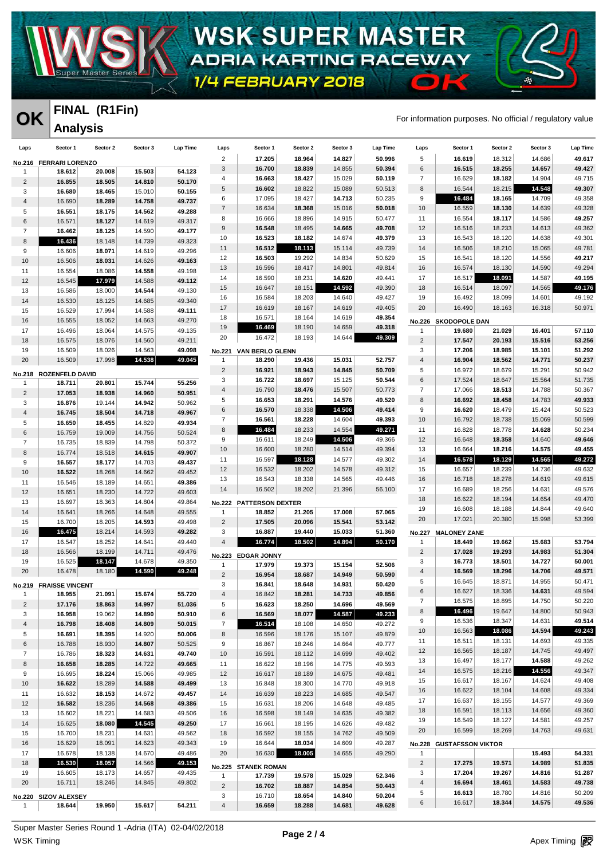

# **WSK-SUPER MASTER** ADRIA KARTING RACEWAY

1/4 FEBRUARY 2018

#### **FINAL (R1Fin) Analysis**

**OK** FINAL (KITIII)<br>For information purposes. No official / regulatory value

 $\bullet$ 

| Laps           | Sector 1                         | Sector 2 | Sector 3 | Lap Time | Laps                      | Sector 1                | Sector 2 | Sector 3 | Lap Time | Laps             | Sector 1                 | Sector 2 | Sector 3 | Lap Time |
|----------------|----------------------------------|----------|----------|----------|---------------------------|-------------------------|----------|----------|----------|------------------|--------------------------|----------|----------|----------|
|                | No.216 FERRARI LORENZO           |          |          |          | $\overline{2}$            | 17.205                  | 18.964   | 14.827   | 50.996   | 5                | 16.619                   | 18.312   | 14.686   | 49.617   |
| $\mathbf{1}$   | 18.612                           | 20.008   | 15.503   | 54.123   | $\ensuremath{\mathsf{3}}$ | 16.700                  | 18.839   | 14.855   | 50.394   | $\,6$            | 16.515                   | 18.255   | 14.657   | 49.427   |
| $\overline{2}$ | 16.855                           | 18.505   | 14.810   | 50.170   | 4                         | 16.663                  | 18.427   | 15.029   | 50.119   | $\overline{7}$   | 16.629                   | 18.182   | 14.904   | 49.715   |
| 3              | 16.680                           | 18.465   | 15.010   | 50.155   | $\,$ 5 $\,$               | 16.602                  | 18.822   | 15.089   | 50.513   | 8                | 16.544                   | 18.215   | 14.548   | 49.307   |
| 4              | 16.690                           | 18.289   | 14.758   | 49.737   | 6                         | 17.095                  | 18.427   | 14.713   | 50.235   | $\boldsymbol{9}$ | 16.484                   | 18.165   | 14.709   | 49.358   |
| 5              | 16.551                           | 18.175   | 14.562   | 49.288   | $\overline{7}$            | 16.634                  | 18.368   | 15.016   | 50.018   | 10               | 16.559                   | 18.130   | 14.639   | 49.328   |
| $\,6\,$        | 16.571                           | 18.127   | 14.619   | 49.317   | 8                         | 16.666                  | 18.896   | 14.915   | 50.477   | 11               | 16.554                   | 18.117   | 14.586   | 49.257   |
| $\overline{7}$ | 16.462                           | 18.125   | 14.590   | 49.177   | $9\,$                     | 16.548                  | 18.495   | 14.665   | 49.708   | 12               | 16.516                   | 18.233   | 14.613   | 49.362   |
| 8              | 16.436                           | 18.148   | 14.739   | 49.323   | 10                        | 16.523                  | 18.182   | 14.674   | 49.379   | 13               | 16.543                   | 18.120   | 14.638   | 49.301   |
| 9              | 16.606                           | 18.071   | 14.619   | 49.296   | 11                        | 16.512                  | 18.113   | 15.114   | 49.739   | 14               | 16.506                   | 18.210   | 15.065   | 49.781   |
| 10             | 16.506                           | 18.031   | 14.626   | 49.163   | 12                        | 16.503                  | 19.292   | 14.834   | 50.629   | 15               | 16.541                   | 18.120   | 14.556   | 49.217   |
| 11             | 16.554                           | 18.086   | 14.558   | 49.198   | 13                        | 16.596                  | 18.417   | 14.801   | 49.814   | 16               | 16.574                   | 18.130   | 14.590   | 49.294   |
| 12             | 16.545                           | 17.979   | 14.588   | 49.112   | 14                        | 16.590                  | 18.231   | 14.620   | 49.441   | 17               | 16.517                   | 18.091   | 14.587   | 49.195   |
| 13             | 16.586                           | 18.000   | 14.544   | 49.130   | 15                        | 16.647                  | 18.151   | 14.592   | 49.390   | 18               | 16.514                   | 18.097   | 14.565   | 49.176   |
| 14             | 16.530                           | 18.125   | 14.685   | 49.340   | 16                        | 16.584                  | 18.203   | 14.640   | 49.427   | 19               | 16.492                   | 18.099   | 14.601   | 49.192   |
| 15             | 16.529                           | 17.994   | 14.588   | 49.111   | 17                        | 16.619                  | 18.167   | 14.619   | 49.405   | 20               | 16.490                   | 18.163   | 16.318   | 50.971   |
| 16             | 16.555                           | 18.052   | 14.663   | 49.270   | 18                        | 16.571                  | 18.164   | 14.619   | 49.354   |                  | No.226 SKODOPOLE DAN     |          |          |          |
| 17             | 16.496                           | 18.064   | 14.575   | 49.135   | 19                        | 16.469                  | 18.190   | 14.659   | 49.318   | $\mathbf{1}$     | 19.680                   | 21.029   | 16.401   | 57.110   |
| 18             | 16.575                           | 18.076   | 14.560   | 49.211   | 20                        | 16.472                  | 18.193   | 14.644   | 49.309   | $\overline{2}$   | 17.547                   | 20.193   | 15.516   | 53.256   |
| 19             | 16.509                           | 18.026   | 14.563   | 49.098   | No.221                    | <b>VAN BERLO GLENN</b>  |          |          |          | 3                | 17.206                   | 18.985   | 15.101   | 51.292   |
| 20             | 16.509                           | 17.998   | 14.538   | 49.045   | $\mathbf{1}$              | 18.290                  | 19.436   | 15.031   | 52.757   | $\overline{4}$   | 16.904                   | 18.562   | 14.771   | 50.237   |
|                |                                  |          |          |          | $\sqrt{2}$                | 16.921                  | 18.943   | 14.845   | 50.709   | 5                | 16.972                   | 18.679   | 15.291   | 50.942   |
|                | No.218 ROZENFELD DAVID<br>18.711 | 20.801   | 15.744   | 55.256   | 3                         | 16.722                  | 18.697   | 15.125   | 50.544   | $\,6$            | 17.524                   | 18.647   | 15.564   | 51.735   |
| $\mathbf{1}$   |                                  |          |          |          | $\overline{4}$            | 16.790                  | 18.476   | 15.507   | 50.773   | $\overline{7}$   | 17.066                   | 18.513   | 14.788   | 50.367   |
| $\overline{2}$ | 17.053                           | 18.938   | 14.960   | 50.951   | 5                         | 16.653                  | 18.291   | 14.576   | 49.520   | 8                | 16.692                   | 18.458   | 14.783   | 49.933   |
| 3              | 16.876                           | 19.144   | 14.942   | 50.962   | $\,6$                     | 16.570                  | 18.338   | 14.506   | 49.414   | 9                | 16.620                   | 18.479   | 15.424   | 50.523   |
| 4              | 16.745                           | 18.504   | 14.718   | 49.967   | $\overline{7}$            | 16.561                  | 18.228   | 14.604   | 49.393   | 10               | 16.792                   | 18.738   | 15.069   | 50.599   |
| 5              | 16.650                           | 18.455   | 14.829   | 49.934   | 8                         | 16.484                  | 18.233   | 14.554   | 49.271   | 11               | 16.828                   | 18.778   | 14.628   | 50.234   |
| 6              | 16.759                           | 19.009   | 14.756   | 50.524   | 9                         | 16.611                  | 18.249   | 14.506   | 49.366   | 12               | 16.648                   | 18.358   | 14.640   | 49.646   |
| 7              | 16.735                           | 18.839   | 14.798   | 50.372   | 10                        | 16.600                  | 18.280   | 14.514   | 49.394   | 13               | 16.664                   | 18.216   | 14.575   | 49.455   |
| 8              | 16.774                           | 18.518   | 14.615   | 49.907   | 11                        | 16.597                  | 18.128   | 14.577   | 49.302   | 14               | 16.578                   | 18.129   | 14.565   | 49.272   |
| 9              | 16.557                           | 18.177   | 14.703   | 49.437   | 12                        | 16.532                  | 18.202   | 14.578   | 49.312   | 15               | 16.657                   | 18.239   | 14.736   | 49.632   |
| 10             | 16.522                           | 18.268   | 14.662   | 49.452   | 13                        | 16.543                  | 18.338   | 14.565   | 49.446   | 16               | 16.718                   | 18.278   | 14.619   | 49.615   |
| 11             | 16.546                           | 18.189   | 14.651   | 49.386   | 14                        | 16.502                  | 18.202   | 21.396   | 56.100   | 17               | 16.689                   | 18.256   | 14.631   | 49.576   |
| 12             | 16.651                           | 18.230   | 14.722   | 49.603   |                           |                         |          |          |          | 18               |                          |          |          | 49.470   |
| 13             | 16.697                           | 18.363   | 14.804   | 49.864   |                           | No.222 PATTERSON DEXTER |          |          |          |                  | 16.622                   | 18.194   | 14.654   |          |
| 14             | 16.641                           | 18.266   | 14.648   | 49.555   | $\mathbf{1}$              | 18.852                  | 21.205   | 17.008   | 57.065   | 19               | 16.608                   | 18.188   | 14.844   | 49.640   |
| 15             | 16.700                           | 18.205   | 14.593   | 49.498   | $\overline{c}$            | 17.505                  | 20.096   | 15.541   | 53.142   | 20               | 17.021                   | 20.380   | 15.998   | 53.399   |
| 16             | 16.475                           | 18.214   | 14.593   | 49.282   | 3                         | 16.887                  | 19.440   | 15.033   | 51.360   |                  | No.227 MALONEY ZANE      |          |          |          |
| 17             | 16.547                           | 18.252   | 14.641   | 49.440   | $\overline{4}$            | 16.774                  | 18.502   | 14.894   | 50.170   | $\mathbf{1}$     | 18.449                   | 19.662   | 15.683   | 53.794   |
| 18             | 16.566                           | 18.199   | 14.711   | 49.476   |                           | No.223 EDGAR JONNY      |          |          |          | $\overline{2}$   | 17.028                   | 19.293   | 14.983   | 51.304   |
| 19             | 16.525                           | 18.147   | 14.678   | 49.350   | $\mathbf{1}$              | 17.979                  | 19.373   | 15.154   | 52.506   | 3                | 16.773                   | 18.501   | 14.727   | 50.001   |
| 20             | 16.478                           | 18.180   | 14.590   | 49.248   | $\overline{2}$            | 16.954                  | 18.687   | 14.949   | 50.590   | $\overline{4}$   | 16.569                   | 18.296   | 14.706   | 49.571   |
|                | No.219 FRAISSE VINCENT           |          |          |          | 3                         | 16.841                  | 18.648   | 14.931   | 50.420   | 5                | 16.645                   | 18.871   | 14.955   | 50.471   |
|                | 18.955                           | 21.091   | 15.674   | 55.720   | 4                         | 16.842                  | 18.281   | 14.733   | 49.856   | 6                | 16.627                   | 18.336   | 14.631   | 49.594   |
| $\overline{2}$ | 17.176                           | 18.863   | 14.997   | 51.036   | 5                         | 16.623                  | 18.250   | 14.696   | 49.569   | 7                | 16.575                   | 18.895   | 14.750   | 50.220   |
| 3              | 16.958                           | 19.062   | 14.890   | 50.910   | $\,6$                     | 16.569                  | 18.077   | 14.587   | 49.233   | 8                | 16.496                   | 19.647   | 14.800   | 50.943   |
| 4              | 16.798                           | 18.408   | 14.809   | 50.015   | $\overline{7}$            | 16.514                  | 18.108   | 14.650   | 49.272   | 9                | 16.536                   | 18.347   | 14.631   | 49.514   |
| 5              | 16.691                           | 18.395   | 14.920   | 50.006   | 8                         | 16.596                  | 18.176   | 15.107   | 49.879   | 10               | 16.563                   | 18.086   | 14.594   | 49.243   |
| 6              | 16.788                           | 18.930   | 14.807   | 50.525   | 9                         | 16.867                  | 18.246   | 14.664   | 49.777   | 11               | 16.511                   | 18.131   | 14.693   | 49.335   |
| $\overline{7}$ | 16.786                           | 18.323   | 14.631   | 49.740   | 10                        | 16.591                  | 18.112   | 14.699   | 49.402   | 12               | 16.565                   | 18.187   | 14.745   | 49.497   |
| 8              | 16.658                           | 18.285   | 14.722   | 49.665   | 11                        | 16.622                  | 18.196   | 14.775   | 49.593   | 13               | 16.497                   | 18.177   | 14.588   | 49.262   |
| 9              | 16.695                           | 18.224   | 15.066   | 49.985   | 12                        | 16.617                  | 18.189   | 14.675   | 49.481   | 14               | 16.575                   | 18.216   | 14.556   | 49.347   |
| 10             | 16.622                           | 18.289   | 14.588   | 49.499   | 13                        | 16.848                  | 18.300   | 14.770   | 49.918   | 15               | 16.617                   | 18.167   | 14.624   | 49.408   |
| 11             | 16.632                           | 18.153   | 14.672   | 49.457   | 14                        | 16.639                  | 18.223   | 14.685   | 49.547   | 16               | 16.622                   | 18.104   | 14.608   | 49.334   |
| 12             | 16.582                           | 18.236   | 14.568   | 49.386   | 15                        | 16.631                  | 18.206   | 14.648   | 49.485   | 17               | 16.637                   | 18.155   | 14.577   | 49.369   |
| 13             | 16.602                           | 18.221   | 14.683   | 49.506   | 16                        | 16.598                  | 18.149   | 14.635   | 49.382   | 18               | 16.591                   | 18.113   | 14.656   | 49.360   |
|                |                                  |          | 14.545   |          |                           |                         |          |          |          | 19               | 16.549                   | 18.127   | 14.581   | 49.257   |
| 14             | 16.625                           | 18.080   |          | 49.250   | 17                        | 16.661                  | 18.195   | 14.626   | 49.482   | 20               | 16.599                   | 18.269   | 14.763   | 49.631   |
| 15             | 16.700                           | 18.231   | 14.631   | 49.562   | 18                        | 16.592                  | 18.155   | 14.762   | 49.509   |                  |                          |          |          |          |
| 16             | 16.629                           | 18.091   | 14.623   | 49.343   | 19                        | 16.644                  | 18.034   | 14.609   | 49.287   |                  | No.228 GUSTAFSSON VIKTOR |          |          |          |
| 17             | 16.678                           | 18.138   | 14.670   | 49.486   | 20                        | 16.630                  | 18.005   | 14.655   | 49.290   | $\mathbf{1}$     |                          |          | 15.493   | 54.331   |
| 18             | 16.530                           | 18.057   | 14.566   | 49.153   |                           | No.225 STANEK ROMAN     |          |          |          | $\overline{c}$   | 17.275                   | 19.571   | 14.989   | 51.835   |
| 19             | 16.605                           | 18.173   | 14.657   | 49.435   | $\mathbf{1}$              | 17.739                  | 19.578   | 15.029   | 52.346   | 3                | 17.204                   | 19.267   | 14.816   | 51.287   |
| 20             | 16.711                           | 18.246   | 14.845   | 49.802   | $\overline{2}$            | 16.702                  | 18.887   | 14.854   | 50.443   | $\overline{4}$   | 16.694                   | 18.461   | 14.583   | 49.738   |
|                | No.220 SIZOV ALEXSEY             |          |          |          | 3                         | 16.710                  | 18.654   | 14.840   | 50.204   | 5                | 16.613                   | 18.780   | 14.816   | 50.209   |
| $\mathbf{1}$   | 18.644                           | 19.950   | 15.617   | 54.211   | $\overline{4}$            | 16.659                  | 18.288   | 14.681   | 49.628   | 6                | 16.617                   | 18.344   | 14.575   | 49.536   |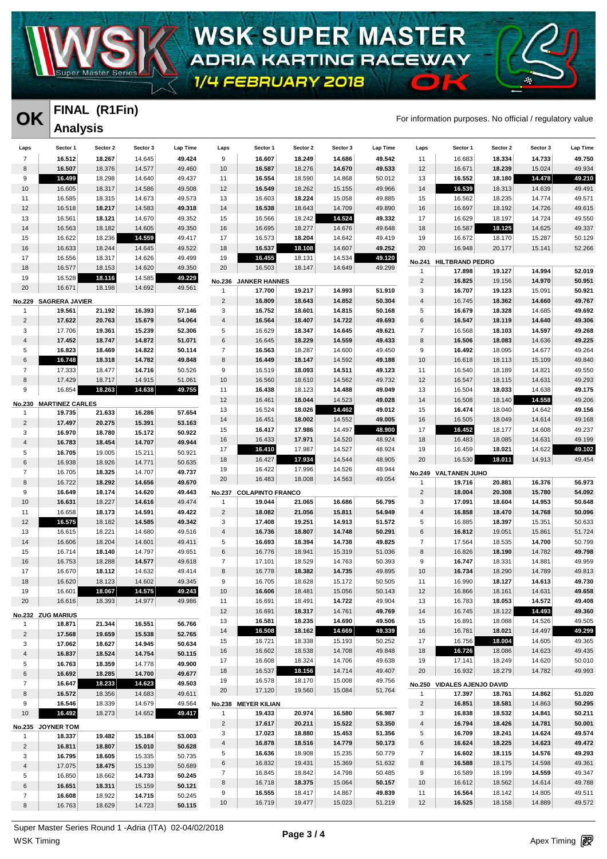

# **WSK-SUPER MASTER** ADRIA KARTING RACEWAY

1/4 FEBRUARY 2018

#### **FINAL (R1Fin) Analysis**

**OK** FINAL (KITIII)<br>For information purposes. No official / regulatory value

 $\epsilon$ 

| Laps                | Sector 1               | Sector 2         | Sector 3         | Lap Time         | Laps            | Sector 1                      | Sector 2         | Sector 3         | Lap Time         | Laps                          | Sector 1                              | Sector 2         | Sector 3         | Lap Time         |
|---------------------|------------------------|------------------|------------------|------------------|-----------------|-------------------------------|------------------|------------------|------------------|-------------------------------|---------------------------------------|------------------|------------------|------------------|
| $\overline{7}$      | 16.512                 | 18.267           | 14.645           | 49.424           | 9               | 16.607                        | 18.249           | 14.686           | 49.542           | 11                            | 16.683                                | 18.334           | 14.733           | 49.750           |
| 8                   | 16.507                 | 18.376           | 14.577           | 49.460           | 10              | 16.587                        | 18.276           | 14.670           | 49.533           | 12                            | 16.671                                | 18.239           | 15.024           | 49.934           |
| 9                   | 16.499                 | 18.298           | 14.640           | 49.437           | 11              | 16.554                        | 18.590           | 14.868           | 50.012           | 13                            | 16.552                                | 18.180           | 14.478           | 49.210           |
| 10                  | 16.605                 | 18.317           | 14.586           | 49.508           | 12              | 16.549                        | 18.262           | 15.155           | 49.966           | 14                            | 16.539                                | 18.313           | 14.639           | 49.491           |
| 11                  | 16.585                 | 18.315           | 14.673           | 49.573           | 13              | 16.603                        | 18.224           | 15.058           | 49.885           | 15                            | 16.562                                | 18.235           | 14.774           | 49.571           |
| 12                  | 16.518                 | 18.217           | 14.583           | 49.318           | 14              | 16.538                        | 18.643           | 14.709           | 49.890           | 16                            | 16.697                                | 18.192           | 14.726           | 49.615           |
| 13                  | 16.561                 | 18.121           | 14.670           | 49.352           | 15              | 16.566                        | 18.242           | 14.524           | 49.332           | 17                            | 16.629                                | 18.197           | 14.724           | 49.550           |
| 14                  | 16.563                 | 18.182           | 14.605           | 49.350           | 16              | 16.695                        | 18.277           | 14.676           | 49.648           | 18                            | 16.587                                | 18.125           | 14.625           | 49.337           |
| 15                  | 16.622                 | 18.236           | 14.559           | 49.417           | 17              | 16.573                        | 18.204           | 14.642           | 49.419           | 19                            | 16.672                                | 18.170           | 15.287           | 50.129           |
| 16                  | 16.633                 | 18.244           | 14.645           | 49.522           | 18              | 16.537                        | 18.108           | 14.607           | 49.252           | 20                            | 16.948                                | 20.177           | 15.141           | 52.266           |
| 17<br>18            | 16.556<br>16.577       | 18.317<br>18.153 | 14.626<br>14.620 | 49.499<br>49.350 | 19<br>20        | 16.455<br>16.503              | 18.131<br>18.147 | 14.534<br>14.649 | 49.120<br>49.299 | <b>No.241</b>                 | <b>HILTBRAND PEDRO</b>                |                  |                  |                  |
| 19                  | 16.528                 | 18.116           | 14.585           | 49.229           |                 |                               |                  |                  |                  | $\mathbf{1}$                  | 17.898                                | 19.127           | 14.994           | 52.019           |
| 20                  | 16.671                 | 18.198           | 14.692           | 49.561           | <b>No.236</b>   | <b>JANKER HANNES</b>          |                  |                  |                  | $\overline{2}$                | 16.825                                | 19.156           | 14.970           | 50.951           |
|                     |                        |                  |                  |                  | $\mathbf{1}$    | 17.700                        | 19.217           | 14.993           | 51.910           | 3                             | 16.707                                | 19.123           | 15.091           | 50.921           |
|                     | No.229 SAGRERA JAVIER  |                  |                  |                  | $\overline{2}$  | 16.809                        | 18.643           | 14.852           | 50.304           | $\sqrt{4}$                    | 16.745                                | 18.362           | 14.660           | 49.767           |
| $\mathbf{1}$        | 19.561                 | 21.192           | 16.393           | 57.146           | 3               | 16.752                        | 18.601           | 14.815           | 50.168           | 5                             | 16.679                                | 18.328           | 14.685           | 49.692           |
| $\overline{2}$      | 17.622                 | 20.763           | 15.679           | 54.064           | $\overline{4}$  | 16.564                        | 18.407           | 14.722           | 49.693           | 6                             | 16.547                                | 18.119           | 14.640           | 49.306           |
| 3                   | 17.706                 | 19.361           | 15.239           | 52.306           | 5               | 16.629                        | 18.347           | 14.645           | 49.621           | $\overline{7}$                | 16.568                                | 18.103           | 14.597           | 49.268           |
| $\overline{a}$      | 17.452                 | 18.747           | 14.872           | 51.071           | 6               | 16.645                        | 18.229           | 14.559           | 49.433           | 8                             | 16.506                                | 18.083           | 14.636           | 49.225           |
| 5                   | 16.823                 | 18.469           | 14.822           | 50.114           | $\overline{7}$  | 16.563                        | 18.287           | 14.600           | 49.450           | 9                             | 16.492                                | 18.095           | 14.677           | 49.264           |
| 6                   | 16.748                 | 18.318           | 14.782           | 49.848           | 8               | 16.449                        | 18.147           | 14.592           | 49.188           | 10                            | 16.618                                | 18.113           | 15.109           | 49.840           |
| $\overline{7}$      | 17.333                 | 18.477           | 14.716           | 50.526           | 9               | 16.519                        | 18.093           | 14.511           | 49.123           | 11                            | 16.540                                | 18.189           | 14.821           | 49.550           |
| 8                   | 17.429                 | 18.717           | 14.915           | 51.061           | 10              | 16.560                        | 18.610           | 14.562           | 49.732           | 12                            | 16.547                                | 18.115           | 14.631           | 49.293           |
| 9                   | 16.854                 | 18.263           | 14.638           | 49.755           | 11              | 16.438                        | 18.123           | 14.488           | 49.049           | 13                            | 16.504                                | 18.033           | 14.638           | 49.175<br>49.206 |
|                     | No.230 MARTINEZ CARLES |                  |                  |                  | 12<br>13        | 16.461<br>16.524              | 18.044<br>18.026 | 14.523<br>14.462 | 49.028<br>49.012 | 14<br>15                      | 16.508<br>16.474                      | 18.140<br>18.040 | 14.558<br>14.642 | 49.156           |
| $\mathbf{1}$        | 19.735                 | 21.633           | 16.286           | 57.654           | 14              | 16.451                        | 18.002           | 14.552           | 49.005           | 16                            | 16.505                                | 18.049           | 14.614           | 49.168           |
| $\overline{2}$      | 17.497                 | 20.275           | 15.391           | 53.163           | 15              | 16.417                        | 17.986           | 14.497           | 48.900           | 17                            | 16.452                                | 18.177           | 14.608           | 49.237           |
| 3                   | 16.970                 | 18.780           | 15.172           | 50.922           | 16              | 16.433                        | 17.971           | 14.520           | 48.924           | 18                            | 16.483                                | 18.085           | 14.631           | 49.199           |
| $\overline{a}$      | 16.783                 | 18.454           | 14.707           | 49.944           | 17              | 16.410                        | 17.987           | 14.527           | 48.924           | 19                            | 16.459                                | 18.021           | 14.622           | 49.102           |
| 5                   | 16.705                 | 19.005           | 15.211           | 50.921           | 18              | 16.427                        | 17.934           | 14.544           | 48.905           | 20                            | 16.530                                | 18.011           | 14.913           | 49.454           |
| $\,6$               | 16.938                 | 18.926           | 14.771           | 50.635           | 19              | 16.422                        | 17.996           | 14.526           | 48.944           |                               |                                       |                  |                  |                  |
| $\overline{7}$      | 16.705                 | 18.325           | 14.707           | 49.737           | 20              | 16.483                        | 18.008           | 14.563           | 49.054           |                               | No.249 VALTANEN JUHO                  |                  |                  |                  |
| 8                   | 16.722                 | 18.292           | 14.656           | 49.670           |                 |                               |                  |                  |                  | $\mathbf{1}$                  | 19.716                                | 20.881           | 16.376           | 56.973           |
| 9                   | 16.649                 | 18.174           | 14.620           | 49.443           | <b>No.237</b>   | <b>COLAPINTO FRANCO</b>       |                  |                  |                  | $\overline{c}$                | 18.004                                | 20.308           | 15.780           | 54.092           |
| 10                  | 16.631                 | 18.227           | 14.616           | 49.474           | $\mathbf{1}$    | 19.044                        | 21.065           | 16.686           | 56.795           | 3                             | 17.091                                | 18.604           | 14.953           | 50.648           |
| 11                  | 16.658                 | 18.173           | 14.591           | 49.422           | $\overline{2}$  | 18.082                        | 21.056           | 15.811           | 54.949           | $\sqrt{4}$                    | 16.858                                | 18.470           | 14.768           | 50.096           |
| 12                  | 16.575                 | 18.182           | 14.585           | 49.342           | 3<br>$\sqrt{4}$ | 17.408                        | 19.251           | 14.913           | 51.572           | 5<br>6                        | 16.885                                | 18.397           | 15.351           | 50.633           |
| 13<br>14            | 16.615                 | 18.221           | 14.680<br>14.601 | 49.516           | 5               | 16.736                        | 18.807<br>18.394 | 14.748           | 50.291<br>49.825 | $\overline{7}$                | 16.812                                | 19.051<br>18.535 | 15.861           | 51.724<br>50.799 |
| 15                  | 16.606<br>16.714       | 18.204<br>18.140 | 14.797           | 49.411<br>49.651 | $\,6$           | 16.693<br>16.776              | 18.941           | 14.738<br>15.319 | 51.036           | 8                             | 17.564<br>16.826                      | 18.190           | 14.700<br>14.782 | 49.798           |
| 16                  | 16.753                 | 18.288           | 14.577           | 49.618           | $\overline{7}$  | 17.101                        | 18.529           | 14.763           | 50.393           | 9                             | 16.747                                | 18.331           | 14.881           | 49.959           |
| 17                  | 16.670                 | 18.112           | 14.632           | 49.414           | 8               | 16.778                        | 18.382           | 14.735           | 49.895           | 10                            | 16.734                                | 18.290           | 14.789           | 49.813           |
| 18                  | 16.620                 | 18.123           | 14.602           | 49.345           | 9               | 16.705                        | 18.628           | 15.172           | 50.505           | 11                            | 16.990                                | 18.127           | 14.613           | 49.730           |
| 19                  | 16.601                 | 18.067           | 14.575           | 49.243           | 10              | 16.606                        | 18.481           | 15.056           | 50.143           | 12                            | 16.866                                | 18.161           | 14.631           | 49.658           |
| 20                  | 16.616                 | 18.393           | 14.977           | 49.986           | 11              | 16.691                        | 18.491           | 14.722           | 49.904           | 13                            | 16.783                                | 18.053           | 14.572           | 49.408           |
|                     |                        |                  |                  |                  | 12              | 16.691                        | 18.317           | 14.761           | 49.769           | 14                            | 16.745                                | 18.122           | 14.493           | 49.360           |
|                     | No.232 ZUG MARIUS      |                  |                  |                  | 13              | 16.581                        | 18.235           | 14.690           | 49.506           | 15                            | 16.891                                | 18.088           | 14.526           | 49.505           |
| $\mathbf{1}$        | 18.871                 | 21.344           | 16.551           | 56.766           | 14              | 16.508                        | 18.162           | 14.669           | 49.339           | 16                            | 16.781                                | 18.021           | 14.497           | 49.299           |
| $\overline{2}$      | 17.568                 | 19.659           | 15.538           | 52.765           | 15              | 16.721                        | 18.338           | 15.193           | 50.252           | 17                            | 16.756                                | 18.004           | 14.605           | 49.365           |
| 3                   | 17.062                 | 18.627           | 14.945           | 50.634           | 16              | 16.602                        | 18.538           | 14.708           | 49.848           | 18                            | 16.726                                | 18.086           | 14.623           | 49.435           |
| $\overline{4}$      | 16.837                 | 18.524           | 14.754           | 50.115           | 17              | 16.608                        | 18.324           | 14.706           | 49.638           | 19                            | 17.141                                | 18.249           | 14.620           | 50.010           |
| 5                   | 16.763                 | 18.359           | 14.778           | 49.900           | 18              | 16.537                        | 18.156           | 14.714           | 49.407           | 20                            | 16.932                                | 18.279           | 14.782           | 49.993           |
| 6<br>$\overline{7}$ | 16.692<br>16.647       | 18.285<br>18.233 | 14.700<br>14.623 | 49.677<br>49.503 | 19              | 16.578                        | 18.170           | 15.008           | 49.756           |                               |                                       |                  |                  |                  |
| 8                   | 16.572                 | 18.356           | 14.683           | 49.611           | 20              | 17.120                        | 19.560           | 15.084           | 51.764           | <b>No.250</b><br>$\mathbf{1}$ | <b>VIDALES AJENJO DAVID</b><br>17.397 | 18.761           | 14.862           | 51.020           |
| 9                   | 16.546                 | 18.339           | 14.679           | 49.564           |                 |                               |                  |                  |                  | $\overline{c}$                | 16.851                                | 18.581           | 14.863           | 50.295           |
| 10                  | 16.492                 | 18.273           | 14.652           | 49.417           | $\mathbf{1}$    | No.238 MEYER KILIAN<br>19.433 | 20.974           | 16.580           | 56.987           | 3                             | 16.838                                | 18.532           | 14.841           | 50.211           |
|                     |                        |                  |                  |                  | $\overline{2}$  | 17.617                        | 20.211           | 15.522           | 53.350           | $\sqrt{4}$                    | 16.794                                | 18.426           | 14.781           | 50.001           |
|                     | No.235 JOYNER TOM      |                  |                  |                  | 3               | 17.023                        | 18.880           | 15.453           | 51.356           | 5                             | 16.709                                | 18.241           | 14.624           | 49.574           |
| $\mathbf{1}$        | 18.337                 | 19.482           | 15.184           | 53.003           | $\overline{4}$  | 16.878                        | 18.516           | 14.779           | 50.173           | 6                             | 16.624                                | 18.225           | 14.623           | 49.472           |
| $\overline{2}$      | 16.811                 | 18.807           | 15.010           | 50.628           | 5               | 16.636                        | 18.908           | 15.235           | 50.779           | 7                             | 16.602                                | 18.115           | 14.576           | 49.293           |
| 3                   | 16.795                 | 18.605           | 15.335           | 50.735           | 6               | 16.832                        | 19.431           | 15.369           | 51.632           | 8                             | 16.588                                | 18.175           | 14.598           | 49.361           |
| $\overline{4}$      | 17.075                 | 18.475           | 15.139           | 50.689           | $\overline{7}$  | 16.845                        | 18.842           | 14.798           | 50.485           | 9                             | 16.589                                | 18.199           | 14.559           | 49.347           |
| 5                   | 16.850                 | 18.662           | 14.733           | 50.245           | 8               | 16.718                        | 18.375           | 15.064           | 50.157           | 10                            | 16.612                                | 18.562           | 14.614           | 49.788           |
| 6                   | 16.651                 | 18.311           | 15.159           | 50.121           | 9               | 16.555                        | 18.417           | 14.867           | 49.839           | 11                            | 16.564                                | 18.142           | 14.805           | 49.511           |
| $\overline{7}$      | 16.608                 | 18.922           | 14.715           | 50.245           | 10              | 16.719                        | 19.477           | 15.023           | 51.219           | 12                            | 16.525                                | 18.158           | 14.889           | 49.572           |
| 8                   | 16.763                 | 18.629           | 14.723           | 50.115           |                 |                               |                  |                  |                  |                               |                                       |                  |                  |                  |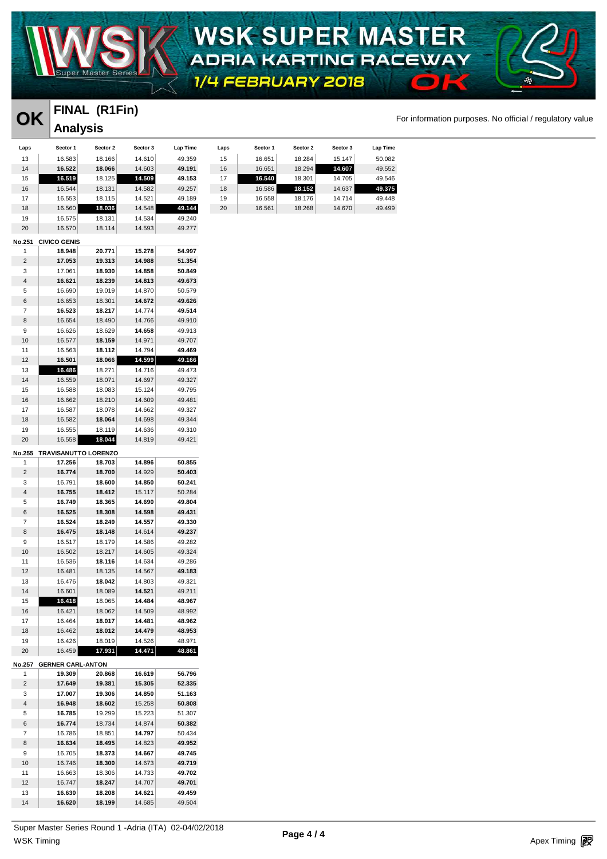

### **WSK-SUPER MASTER** ADRIA KARTING RACEWAY  $\epsilon$

1/4 FEBRUARY 2018

### **FINAL (R1Fin) Analysis**

#### **OK** FINAL (KTFIN)<br>For information purposes. No official / regulatory value

| Laps          | Sector 1                    | Sector 2 | Sector 3 | Lap Time | Laps | Sector 1 | Sector 2 | Sector 3 | Lap Time |
|---------------|-----------------------------|----------|----------|----------|------|----------|----------|----------|----------|
|               |                             |          |          |          |      |          |          |          |          |
| 13            | 16.583                      | 18.166   | 14.610   | 49.359   | 15   | 16.651   | 18.284   | 15.147   | 50.082   |
| 14            | 16.522                      | 18.066   | 14.603   | 49.191   | 16   | 16.651   | 18.294   | 14.607   | 49.552   |
| 15            | 16.519                      | 18.125   | 14.509   | 49.153   | 17   | 16.540   | 18.301   | 14.705   | 49.546   |
| 16            | 16.544                      | 18.131   | 14.582   | 49.257   | 18   | 16.586   | 18.152   | 14.637   | 49.375   |
| 17            | 16.553                      | 18.115   | 14.521   | 49.189   | 19   | 16.558   | 18.176   | 14.714   | 49.448   |
| 18            | 16.560                      | 18.036   | 14.548   | 49.144   | 20   | 16.561   | 18.268   | 14.670   | 49.499   |
| 19            | 16.575                      | 18.131   | 14.534   | 49.240   |      |          |          |          |          |
| 20            |                             |          |          |          |      |          |          |          |          |
|               | 16.570                      | 18.114   | 14.593   | 49.277   |      |          |          |          |          |
| No.251        | <b>CIVICO GENIS</b>         |          |          |          |      |          |          |          |          |
| 1             | 18.948                      | 20.771   | 15.278   | 54.997   |      |          |          |          |          |
| 2             | 17.053                      | 19.313   | 14.988   | 51.354   |      |          |          |          |          |
| 3             | 17.061                      | 18.930   | 14.858   | 50.849   |      |          |          |          |          |
| 4             | 16.621                      | 18.239   | 14.813   | 49.673   |      |          |          |          |          |
|               |                             |          |          |          |      |          |          |          |          |
| 5             | 16.690                      | 19.019   | 14.870   | 50.579   |      |          |          |          |          |
| 6             | 16.653                      | 18.301   | 14.672   | 49.626   |      |          |          |          |          |
| 7             | 16.523                      | 18.217   | 14.774   | 49.514   |      |          |          |          |          |
| 8             | 16.654                      | 18.490   | 14.766   | 49.910   |      |          |          |          |          |
| 9             | 16.626                      | 18.629   | 14.658   | 49.913   |      |          |          |          |          |
| 10            | 16.577                      | 18.159   | 14.971   | 49.707   |      |          |          |          |          |
| 11            | 16.563                      | 18.112   | 14.794   | 49.469   |      |          |          |          |          |
| 12            | 16.501                      | 18.066   | 14.599   |          |      |          |          |          |          |
|               |                             |          |          | 49.166   |      |          |          |          |          |
| 13            | 16.486                      | 18.271   | 14.716   | 49.473   |      |          |          |          |          |
| 14            | 16.559                      | 18.071   | 14.697   | 49.327   |      |          |          |          |          |
| 15            | 16.588                      | 18.083   | 15.124   | 49.795   |      |          |          |          |          |
| 16            | 16.662                      | 18.210   | 14.609   | 49.481   |      |          |          |          |          |
| 17            | 16.587                      | 18.078   | 14.662   | 49.327   |      |          |          |          |          |
| 18            | 16.582                      | 18.064   | 14.698   | 49.344   |      |          |          |          |          |
| 19            | 16.555                      | 18.119   | 14.636   | 49.310   |      |          |          |          |          |
| 20            | 16.558                      | 18.044   |          | 49.421   |      |          |          |          |          |
|               |                             |          | 14.819   |          |      |          |          |          |          |
|               | No.255 TRAVISANUTTO LORENZO |          |          |          |      |          |          |          |          |
| 1             | 17.256                      | 18.703   | 14.896   | 50.855   |      |          |          |          |          |
| 2             | 16.774                      | 18.700   | 14.929   | 50.403   |      |          |          |          |          |
| 3             | 16.791                      | 18.600   | 14.850   | 50.241   |      |          |          |          |          |
| 4             | 16.755                      | 18.412   | 15.117   | 50.284   |      |          |          |          |          |
|               |                             |          |          |          |      |          |          |          |          |
| 5             | 16.749                      | 18.365   | 14.690   | 49.804   |      |          |          |          |          |
| 6             | 16.525                      | 18.308   | 14.598   | 49.431   |      |          |          |          |          |
| 7             | 16.524                      | 18.249   | 14.557   | 49.330   |      |          |          |          |          |
| 8             | 16.475                      | 18.148   | 14.614   | 49.237   |      |          |          |          |          |
| 9             | 16.517                      | 18.179   | 14.586   | 49.282   |      |          |          |          |          |
| 10            | 16.502                      | 18.217   | 14.605   | 49.324   |      |          |          |          |          |
| 11            | 16.536                      | 18.116   | 14.634   | 49.286   |      |          |          |          |          |
| 12            | 16.481                      | 18.135   | 14.567   | 49.183   |      |          |          |          |          |
| 13            | 16.476                      | 18.042   | 14.803   | 49.321   |      |          |          |          |          |
| 14            | 16.601                      | 18.089   | 14.521   | 49.211   |      |          |          |          |          |
|               |                             |          |          |          |      |          |          |          |          |
| 15            | 16.418                      | 18.065   | 14.484   | 48.967   |      |          |          |          |          |
| 16            | 16.421                      | 18.062   | 14.509   | 48.992   |      |          |          |          |          |
| 17            | 16.464                      | 18.017   | 14.481   | 48.962   |      |          |          |          |          |
| 18            | 16.462                      | 18.012   | 14.479   | 48.953   |      |          |          |          |          |
| 19            | 16.426                      | 18.019   | 14.526   | 48.971   |      |          |          |          |          |
| 20            | 16.459                      | 17.931   | 14.471   | 48.861   |      |          |          |          |          |
|               |                             |          |          |          |      |          |          |          |          |
| <b>No.257</b> | <b>GERNER CARL-ANTON</b>    |          |          |          |      |          |          |          |          |
| 1             | 19.309                      | 20.868   | 16.619   | 56.796   |      |          |          |          |          |
| 2             | 17.649                      | 19.381   | 15.305   | 52.335   |      |          |          |          |          |
| 3             | 17.007                      | 19.306   | 14.850   | 51.163   |      |          |          |          |          |
| 4             | 16.948                      | 18.602   | 15.258   | 50.808   |      |          |          |          |          |
| 5             | 16.785                      | 19.299   | 15.223   | 51.307   |      |          |          |          |          |
| 6             | 16.774                      | 18.734   | 14.874   | 50.382   |      |          |          |          |          |
| 7             | 16.786                      | 18.851   | 14.797   | 50.434   |      |          |          |          |          |
| 8             | 16.634                      | 18.495   | 14.823   | 49.952   |      |          |          |          |          |
| 9             | 16.705                      | 18.373   | 14.667   | 49.745   |      |          |          |          |          |
|               |                             |          |          |          |      |          |          |          |          |
| 10            | 16.746                      | 18.300   | 14.673   | 49.719   |      |          |          |          |          |
| 11            | 16.663                      | 18.306   | 14.733   | 49.702   |      |          |          |          |          |
| 12            | 16.747                      | 18.247   | 14.707   | 49.701   |      |          |          |          |          |
| 13            | 16.630                      | 18.208   | 14.621   | 49.459   |      |          |          |          |          |
| 14            | 16.620                      | 18.199   | 14.685   | 49.504   |      |          |          |          |          |